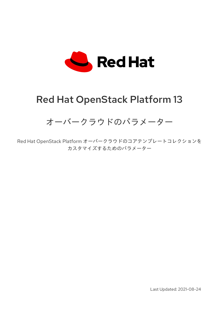

# Red Hat OpenStack Platform 13

# オーバークラウドのパラメーター

Red Hat OpenStack Platform オーバークラウドのコアテンプレートコレクションを カスタマイズするためのパラメーター

Last Updated: 2021-08-24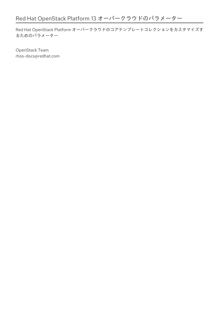Red Hat OpenStack Platform オーバークラウドのコアテンプレートコレクションをカスタマイズす るためのパラメーター

OpenStack Team rhos-docs@redhat.com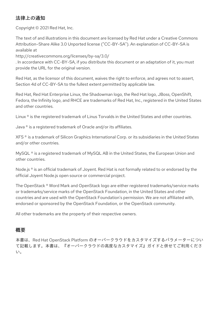#### 法律上の通知

Copyright © 2021 Red Hat, Inc.

The text of and illustrations in this document are licensed by Red Hat under a Creative Commons Attribution–Share Alike 3.0 Unported license ("CC-BY-SA"). An explanation of CC-BY-SA is available at

http://creativecommons.org/licenses/by-sa/3.0/

. In accordance with CC-BY-SA, if you distribute this document or an adaptation of it, you must provide the URL for the original version.

Red Hat, as the licensor of this document, waives the right to enforce, and agrees not to assert, Section 4d of CC-BY-SA to the fullest extent permitted by applicable law.

Red Hat, Red Hat Enterprise Linux, the Shadowman logo, the Red Hat logo, JBoss, OpenShift, Fedora, the Infinity logo, and RHCE are trademarks of Red Hat, Inc., registered in the United States and other countries.

Linux ® is the registered trademark of Linus Torvalds in the United States and other countries.

Java ® is a registered trademark of Oracle and/or its affiliates.

XFS ® is a trademark of Silicon Graphics International Corp. or its subsidiaries in the United States and/or other countries.

MySQL<sup>®</sup> is a registered trademark of MySQL AB in the United States, the European Union and other countries.

Node.js ® is an official trademark of Joyent. Red Hat is not formally related to or endorsed by the official Joyent Node.js open source or commercial project.

The OpenStack ® Word Mark and OpenStack logo are either registered trademarks/service marks or trademarks/service marks of the OpenStack Foundation, in the United States and other countries and are used with the OpenStack Foundation's permission. We are not affiliated with, endorsed or sponsored by the OpenStack Foundation, or the OpenStack community.

All other trademarks are the property of their respective owners.

#### 概要

本書は、Red Hat OpenStack Platform のオーバークラウドをカスタマイズするパラメーターについ て記載します。本書は、『オーバークラウドの高度なカスタマイズ』ガイドと併せてご利用くださ い。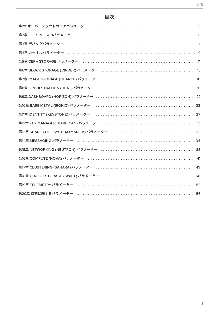#### 目次

| 27 |
|----|
|    |
| 33 |
| 34 |
| 35 |
|    |
| 49 |
| 50 |
|    |
|    |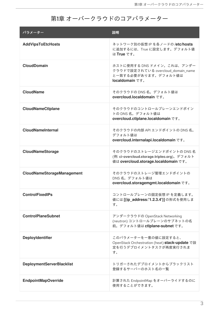#### 第1章 オーバークラウドのコアパラメーター

<span id="page-6-0"></span>

| パラメーター                            | 説明                                                                                                                |
|-----------------------------------|-------------------------------------------------------------------------------------------------------------------|
| <b>AddVipsToEtcHosts</b>          | ネットワーク別の仮想 IP を各ノードの /etc/hosts<br>に追加するには、True に設定します。デフォルト値<br>はTrueです。                                         |
| <b>CloudDomain</b>                | ホストに使用する DNS ドメイン。これは、アンダー<br>クラウドで設定されている overcloud domain name<br>と一致する必要があります。デフォルト値は<br>localdomain です。       |
| <b>CloudName</b>                  | そのクラウドの DNS 名。デフォルト値は<br>overcloud.localdomain です。                                                                |
| <b>CloudNameCtIplane</b>          | そのクラウドのコントロールプレーンエンドポイン<br>トの DNS 名。デフォルト値は<br>overcloud.ctlplane.localdomainです。                                  |
| <b>CloudNameInternal</b>          | そのクラウドの内部 API エンドポイントの DNS 名。<br>デフォルト値は<br>overcloud.internalapi.localdomain です。                                 |
| <b>CloudNameStorage</b>           | そのクラウドのストレージエンドポイントの DNS 名<br>(例: ci-overcloud.storage.tripleo.org)。デフォルト<br>値は overcloud.storage.localdomain です。 |
| <b>CloudNameStorageManagement</b> | そのクラウドのストレージ管理エンドポイントの<br>DNS名。デフォルト値は<br>overcloud.storagemgmt.localdomain です。                                   |
| <b>ControlFixedIPs</b>            | コントロールプレーンの固定仮想 IP を定義します。<br>値には [{ip_address:'1.2.3.4'}] の形式を使用しま<br>す。                                         |
| <b>ControlPlaneSubnet</b>         | アンダークラウドの OpenStack Networking<br>(neutron) コントロールプレーンのサブネットの名<br>前。デフォルト値は ctlplane-subnet です。                   |
| <b>DeployIdentifier</b>           | このパラメーターを一意の値に設定すると、<br>OpenStack Orchestration (heat) stack-update で設<br>定を行うデプロイメントタスクが再度実行されま<br>す。            |
| <b>DeploymentServerBlacklist</b>  | トリガーされたデプロイメントからブラックリスト<br>登録するサーバーのホスト名の一覧                                                                       |
| <b>EndpointMapOverride</b>        | 計算された EndpointMap をオーバーライドするのに<br>使用することができます。                                                                    |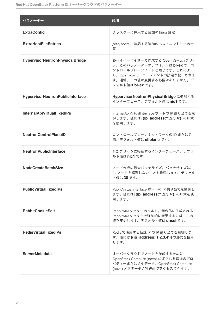| パラメーター                                  | 説明                                                                                                                                                                        |
|-----------------------------------------|---------------------------------------------------------------------------------------------------------------------------------------------------------------------------|
| <b>ExtraConfig</b>                      | クラスターに挿入する追加の hiera 設定                                                                                                                                                    |
| <b>ExtraHostFileEntries</b>             | /etc/hosts に追記する追加のホストエントリーの一<br>覧                                                                                                                                        |
| <b>HypervisorNeutronPhysicalBridge</b>  | 各ハイパーバイザーで作成する Open vSwitch ブリッ<br>ジ。このパラメーターのデフォルトは br-ex で、コ<br>ントロールプレーンノードと同じです。これによ<br>り、Open vSwitch エージェントの設定が統一されま<br>す。通常、この値は変更する必要はありません。デ<br>フォルト値は br-ex です。 |
| <b>HypervisorNeutronPublicInterface</b> | HypervisorNeutronPhysicalBridgeに追加する<br>インターフェース。デフォルト値は nic1 です。                                                                                                         |
| <b>InternalApiVirtualFixedIPs</b>       | InternalApiVirtualInterface ポートのIP 割り当てを制<br>御します。値には [{ip_address:'1.2.3.4'}] の形式<br>を使用します。                                                                             |
| <b>NeutronControlPlaneID</b>            | コントロールプレーンネットワークのID または名<br>前。デフォルト値は ctlplane です。                                                                                                                        |
| <b>NeutronPublicInterface</b>           | 外部ブリッジに接続するインターフェース。デフォ<br>ルト値は nic1 です。                                                                                                                                  |
| <b>NodeCreateBatchSize</b>              | ノード作成の最大バッチサイズ。バッチサイズは、<br>32 ノードを超過しないことを推奨します。デフォル<br>ト値は30です。                                                                                                          |
| <b>PublicVirtualFixedIPs</b>            | PublicVirtualInterface ポートの IP 割り当てを制御し<br>ます。値には [{ip_address:'1.2.3.4'}] の形式を使<br>用します。                                                                                 |
| <b>RabbitCookieSalt</b>                 | RabbitMQ クッキーのソルト。無作為に生成される<br>RabbitMQ クッキーを強制的に変更するには、この<br>値を変更します。デフォルト値は unset です。                                                                                   |
| <b>RedisVirtualFixedIPs</b>             | Redis で使用する仮想 IP の IP 割り当てを制御しま<br>す。値には [{ip address:'1.2.3.4'}] の形式を使用<br>します。                                                                                          |
| <b>ServerMetadata</b>                   | オーバークラウドでノードを作成するために<br>OpenStack Compute (nova) に渡される追加のプロ<br>パティーまたはメタデータ。OpenStack Compute<br>(nova) メタデータ API 経由でアクセスできます。                                            |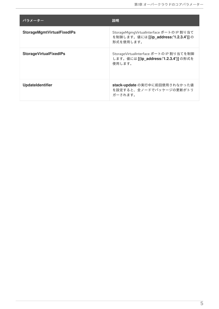| パラメーター                            | 説明                                                                                            |
|-----------------------------------|-----------------------------------------------------------------------------------------------|
| <b>StorageMgmtVirtualFixedIPs</b> | StorageMgmgVirtualInterface ポートのIP 割り当て<br>を制御します。値には [{ip address:'1.2.3.4'}] の<br>形式を使用します。 |
| <b>StorageVirtualFixedIPs</b>     | StorageVirtualInterface ポートの IP 割り当てを制御<br>します。値には [{ip_address:'1.2.3.4'}] の形式を<br>使用します。    |
| <b>UpdateIdentifier</b>           | stack-update の実行中に前回使用されなかった値<br>を設定すると、全ノードでパッケージの更新がトリ<br>ガーされます。                           |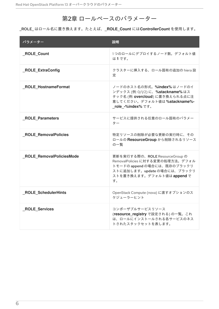#### 第2章 ロールベースのパラメーター

#### <span id="page-9-0"></span>\_ROLE\_ はロール名に置き換えます。たとえば、**\_ROLE\_Count** には**ControllerCount** を使用します。

| パラメーター                      | 説明                                                                                                                                                                   |
|-----------------------------|----------------------------------------------------------------------------------------------------------------------------------------------------------------------|
| _ROLE_Count                 | 1つのロールにデプロイするノード数。デフォルト値<br>は1です。                                                                                                                                    |
| <b>_ROLE_ExtraConfig</b>    | クラスターに挿入する、ロール固有の追加の hiera 設<br>定                                                                                                                                    |
| _ROLE_HostnameFormat        | ノードのホスト名の形式。%index% はノードのイ<br>ンデックス (例: 0/1/2) に、%stackname% はス<br>タック名(例: overcloud)に置き換えられる点に注<br>意してください。デフォルト値は%stackname%-<br>_role_-%index%です。                 |
| <b>ROLE Parameters</b>      | サービスに提供される任意のロール固有のパラメー<br>ター                                                                                                                                        |
| <b>ROLE RemovalPolicies</b> | 特定リソースの削除が必要な更新の実行時に、その<br>ロールの ResourceGroup から削除されるリソース<br>の一覧                                                                                                     |
| ROLE RemovalPoliciesMode    | 更新を実行する際の、ROLE ResourceGroup の<br>RemovalPolicies に対する変更の処理方法。デフォル<br>トモードの append の場合には、既存のブラックリ<br>ストに追加します。update の場合には、ブラックリ<br>ストを置き換えます。デフォルト値は append で<br>す。 |
| <b>ROLE SchedulerHints</b>  | OpenStack Compute (nova) に渡すオプションのス<br>ケジューラーヒント                                                                                                                     |
| <b>ROLE Services</b>        | コンポーザブルサービスリソース<br>(resource_registry で設定される)の一覧。これ<br>は、ロールにインストールされる各サービスのネス<br>トされたスタックセットを表します。                                                                  |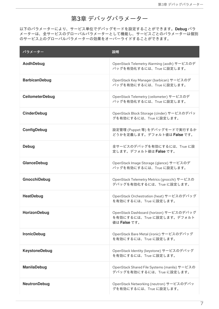#### 第3章 デバッグパラメーター

<span id="page-10-0"></span>以下のパラメーターにより、サービス単位でデバッグモードを設定することができます。**Debug** パラ メーターは、全サービスのグローバルパラメーターとして機能し、サービスごとのパラメーターは個別 のサービス上のグローバルパラメーターの効果をオーバーライドすることができます。

| パラメーター                 | 説明                                                                                    |
|------------------------|---------------------------------------------------------------------------------------|
| AodhDebug              | OpenStack Telemetry Alarming (aodh) サービスのデ<br>バッグを有効化するには、True に設定します。                |
| <b>BarbicanDebug</b>   | OpenStack Key Manager (barbican) サービスのデ<br>バッグを有効にするには、True に設定します。                   |
| <b>CeilometerDebug</b> | OpenStack Telemetry (ceilometer) サービスのデ<br>バッグを有効化するには、True に設定します。                   |
| <b>CinderDebug</b>     | OpenStack Block Storage (cinder) サービスのデバッ<br>グを有効にするには、True に設定します。                   |
| <b>ConfigDebug</b>     | 設定管理 (Puppet 等) をデバッグモードで実行するか<br>どうかを定義します。デフォルト値は False です。                         |
| <b>Debug</b>           | 全サービスのデバッグを有効にするには、True に設<br>定します。デフォルト値は False です。                                  |
| GlanceDebug            | OpenStack Image Storage (glance) サービスのデ<br>バッグを有効にするには、True に設定します。                   |
| GnocchiDebug           | OpenStack Telemetry Metrics (gnocchi) サービスの<br>デバッグを有効化するには、True に設定します。              |
| <b>HeatDebug</b>       | OpenStack Orchestration (heat) サービスのデバッグ<br>を有効にするには、True に設定します。                     |
| <b>HorizonDebug</b>    | OpenStack Dashboard (horizon) サービスのデバッグ<br>を有効にするには、True に設定します。デフォルト<br>値は False です。 |
| <b>IronicDebug</b>     | OpenStack Bare Metal (ironic) サービスのデバッグ<br>を有効にするには、True に設定します。                      |
| <b>KeystoneDebug</b>   | OpenStack Identity (keystone) サービスのデバッグ<br>を有効にするには、True に設定します。                      |
| <b>ManilaDebug</b>     | OpenStack Shared File Systems (manila) サービスの<br>デバッグを有効にするには、True に設定します。             |
| <b>NeutronDebug</b>    | OpenStack Networking (neutron) サービスのデバッ<br>グを有効にするには、True に設定します。                     |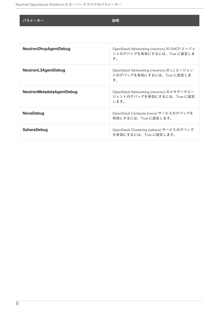パラメーター しょうしょう しゅうしょう しゅうしょう 説明

| <b>NeutronDhcpAgentDebug</b>     | OpenStack Networking (neutron) の DHCP エージェ<br>ントのデバッグを有効にするには、True に設定しま<br>す。 |
|----------------------------------|--------------------------------------------------------------------------------|
| <b>NeutronL3AgentDebug</b>       | OpenStack Networking (neutron) の L3 エージェン<br>トのデバッグを有効にするには、True に設定しま<br>す。   |
| <b>NeutronMetadataAgentDebug</b> | OpenStack Networking (neutron) のメタデータエー<br>ジェントのデバッグを有効にするには、True に設定<br>します。  |
| <b>NovaDebug</b>                 | OpenStack Compute (nova) サービスのデバッグを<br>有効にするには、True に設定します。                    |
| <b>SaharaDebug</b>               | OpenStack Clustering (sahara) サービスのデバッグ<br>を有効にするには、True に設定します。               |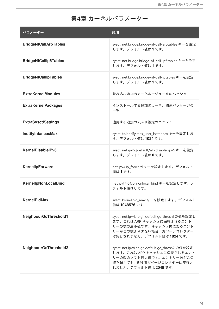#### 第4章 カーネルパラメーター

<span id="page-12-0"></span>

| パラメーター                       | 説明                                                                                                                                                            |
|------------------------------|---------------------------------------------------------------------------------------------------------------------------------------------------------------|
| <b>BridgeNfCallArpTables</b> | sysctl net.bridge.bridge-nf-call-arptables キーを設定<br>します。デフォルト値は1です。                                                                                           |
| <b>BridgeNfCallIp6Tables</b> | sysctl net.bridge.bridge-nf-call-ip6tables キーを設定<br>します。デフォルト値は1です。                                                                                           |
| <b>BridgeNfCallIpTables</b>  | sysctl net.bridge.bridge-nf-call-iptables キーを設定<br>します。デフォルト値は1です。                                                                                            |
| <b>ExtraKernelModules</b>    | 読み込む追加のカーネルモジュールのハッシュ                                                                                                                                         |
| <b>ExtraKernelPackages</b>   | インストールする追加のカーネル関連パッケージの<br>一覧                                                                                                                                 |
| <b>ExtraSysctISettings</b>   | 適用する追加の sysctl 設定のハッシュ                                                                                                                                        |
| InotifyIntancesMax           | sysctl fs.inotify.max_user_instances キーを設定しま<br>す。デフォルト値は1024です。                                                                                              |
| KernelDisableIPv6            | sysctl net.ipv6.{default/all}.disable_ipv6 キーを設定<br>します。デフォルト値は0です。                                                                                           |
| <b>KernellpForward</b>       | net.ipv4.ip_forward キーを設定します。デフォルト<br>値は1です。                                                                                                                  |
| KernellpNonLocalBind         | net.ipv{4,6}.ip_nonlocal_bind キーを設定します。デ<br>フォルト値は0です。                                                                                                        |
| <b>KernelPidMax</b>          | sysctl kernel.pid_max キーを設定します。デフォルト<br>値は1048576です。                                                                                                          |
| NeighbourGcThreshold1        | sysctl net.ipv4.neigh.default.gc_thresh1 の値を設定し<br>ます。これは ARP キャッシュに保持されるエント<br>リーの数の最小値です。キャッシュ内にあるエント<br>リーがこの数より少ない場合、ガベージコレクター<br>は実行されません。デフォルト値は1024です。 |
| NeighbourGcThreshold2        | sysctl net.ipv4.neigh.default.gc_thresh2 の値を設定<br>します。これは ARP キャッシュに保持されるエント<br>リーの数のソフト最大値です。エントリー数がこの<br>値を超えても、5秒間ガベージコレクターは実行さ<br>れません。デフォルト値は2048です。     |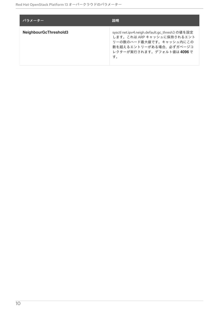| バラメーター                | 説明                                                                                                                                                                   |
|-----------------------|----------------------------------------------------------------------------------------------------------------------------------------------------------------------|
| NeighbourGcThreshold3 | sysctl net.ipv4.neigh.default.gc_thresh3 の値を設定<br>します。これは ARP キャッシュに保持されるエント<br>リーの数のハード最大値です。キャッシュ内にこの<br>数を超えるエントリーがある場合、必ずガベージコ<br>レクターが実行されます。デフォルト値は4096で<br>す。 |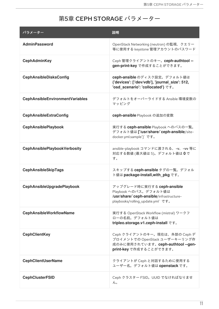#### 第5章 CEPH STORAGE パラメーター

<span id="page-14-0"></span>

| パラメーター                                 | 説明                                                                                                                                   |
|----------------------------------------|--------------------------------------------------------------------------------------------------------------------------------------|
| <b>AdminPassword</b>                   | OpenStack Networking (neutron) の監視、クエリー<br>等に使用する keystone 管理アカウントのパスワード                                                             |
| <b>CephAdminKey</b>                    | Ceph 管理クライアントのキー。ceph-authtool --<br>gen-print-key で作成することができます。                                                                     |
| <b>CephAnsibleDisksConfig</b>          | ceph-ansible のディスク設定。デフォルト値は<br>{'devices': ['/dev/vdb'], 'journal_size': 512,<br>'osd scenario': 'collocated'} です。                  |
| <b>CephAnsibleEnvironmentVariables</b> | デフォルトをオーバーライドする Ansible 環境変数の<br>マッピング                                                                                               |
| <b>CephAnsibleExtraConfig</b>          | ceph-ansible Playbook の追加の変数                                                                                                         |
| <b>CephAnsiblePlaybook</b>             | 実行する ceph-ansible Playbook へのパスの一覧。<br>デフォルト値は ['/usr/share/`ceph-ansible/site-<br>docker.yml.sample'] です。                           |
| <b>CephAnsiblePlaybookVerbosity</b>    | ansible-playbook コマンドに渡される、-v、-vv 等に<br>対応する数値 (最大値は5)。デフォルト値は0で<br>す。                                                               |
| <b>CephAnsibleSkipTags</b>             | スキップする ceph-ansible タグの一覧。デフォル<br>ト値は package-install, with pkg です。                                                                  |
| CephAnsibleUpgradePlaybook             | アップグレード時に実行する ceph-ansible<br>Playbook へのパス。デフォルト値は<br>/usr/share/`ceph-ansible/infrastructure-<br>playbooks/rolling_update.yml` です。 |
| <b>CephAnsibleWorkflowName</b>         | 実行する OpenStack Workflow (mistral) ワークフ<br>ローの名前。デフォルト値は<br>tripleo.storage.v1.ceph-install $\tau$ $\tau$ .                           |
| <b>CephClientKey</b>                   | Ceph クライアントのキー。現在は、外部の Ceph デ<br>プロイメントでの OpenStack ユーザーキーリング作<br>成のみに使用されています。ceph-authtool --gen-<br>print-key で作成することができます。       |
| <b>CephClientUserName</b>              | クライアントが Ceph と対話するために使用する<br>ユーザー名。デフォルト値は openstack です。                                                                             |
| <b>CephClusterFSID</b>                 | Ceph クラスター FSID。UUID でなければなりませ<br>$h_{\circ}$                                                                                        |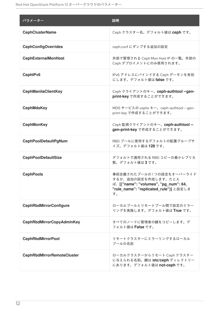| パラメーター                            | 説明                                                                                                                                      |
|-----------------------------------|-----------------------------------------------------------------------------------------------------------------------------------------|
| <b>CephClusterName</b>            | Ceph クラスター名。デフォルト値は ceph です。                                                                                                            |
| <b>CephConfigOverrides</b>        | ceph.conf にダンプする追加の設定                                                                                                                   |
| <b>CephExternalMonHost</b>        | 外部で管理される Ceph Mon Host IP の一覧。外部の<br>Ceph デプロイメントにのみ使用されます。                                                                             |
| CephIPv6                          | IPv6 アドレスにバインドする Ceph デーモンを有効<br>にします。デフォルト値は false です。                                                                                 |
| <b>CephManilaClientKey</b>        | Ceph クライアントのキー。ceph-authtool --gen-<br>print-key で作成することができます。                                                                          |
| <b>CephMdsKey</b>                 | MDS サービスの cephx キー。ceph-authtool --gen-<br>print-key で作成することができます。                                                                      |
| <b>CephMonKey</b>                 | Ceph 監視クライアントのキー。ceph-authtool --<br>gen-print-key で作成することができます。                                                                        |
| <b>CephPoolDefaultPgNum</b>       | RBD プールに使用するデフォルトの配置グループサ<br>イズ。デフォルト値は128です。                                                                                           |
| <b>CephPoolDefaultSize</b>        | デフォルトで適用される RBD コピーの最小レプリカ<br>数。デフォルト値は3です。                                                                                             |
| <b>CephPools</b>                  | 事前定義されたプールの1つの設定をオーバーライド<br>するか、追加の設定を作成します。たとえ<br>ば、[{"name": "volumes", "pg_num": 64,<br>"rule_name": "replicated_rule"}] と設定しま<br>す。 |
| <b>CephRbdMirrorConfigure</b>     | ローカルプールとリモートプール間で設定のミラー<br>リングを実施します。デフォルト値は True です。                                                                                   |
| <b>CephRbdMirrorCopyAdminKey</b>  | すべてのノードに管理者の鍵をコピーします。デ<br>フォルト値は False です。                                                                                              |
| <b>CephRbdMirrorPool</b>          | リモートクラスターにミラーリングするローカル<br>プールの名前                                                                                                        |
| <b>CephRbdMirrorRemoteCluster</b> | ローカルクラスターからリモート Ceph クラスター<br>に与えられる名前。鍵は/etc/ceph ディレクトリー<br>にあります。デフォルト値は not-ceph です。                                                |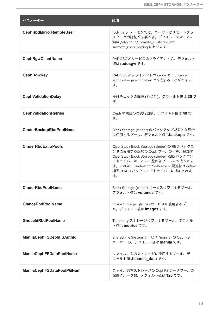| パラメーター                          | 説明                                                                                                                                                                                                                        |
|---------------------------------|---------------------------------------------------------------------------------------------------------------------------------------------------------------------------------------------------------------------------|
| <b>CephRbdMirrorRemoteUser</b>  | rbd-mirror デーモンでは、ユーザーはリモートクラ<br>スターとの認証が必要です。デフォルトでは、この<br>鍵は /etc/ceph/ <remote_cluster>.client.<br/><remote_user>.keyring にあります。</remote_user></remote_cluster>                                                        |
| <b>CephRgwClientName</b>        | RADOSGW サービスのクライアント名。デフォルト<br>値は radosgw です。                                                                                                                                                                              |
| <b>CephRgwKey</b>               | RADOSGW クライアントの cephx キー。ceph-<br>authtool --gen-print-key で作成することができま<br>す。                                                                                                                                              |
| <b>CephValidationDelay</b>      | 検証チェックの間隔 (秒単位)。デフォルト値は 30で<br>す。                                                                                                                                                                                         |
| <b>CephValidationRetries</b>    | Ceph の検証の再試行回数。デフォルト値は40で<br>す。                                                                                                                                                                                           |
| <b>CinderBackupRbdPoolName</b>  | Block Storage (cinder) のバックアップが有効な場合<br>に使用するプール。デフォルト値はbackupsです。                                                                                                                                                        |
| <b>CinderRbdExtraPools</b>      | OpenStack Block Storage (cinder) の RBD バックエ<br>ンドに使用する追加の Ceph プールの一覧。追加の<br>OpenStack Block Storage (cinder) RBD バックエン<br>ドドライバーは、この一覧の各プールに作成されま<br>す。これは、CinderRbdPoolName に関連付けられた<br>標準の RBD バックエンドドライバーに追加されま<br>す。 |
| <b>CinderRbdPoolName</b>        | Block Storage (cinder) サービスに使用するプール。<br>デフォルト値は volumes です。                                                                                                                                                               |
| <b>GlanceRbdPoolName</b>        | Image Storage (glance) サービスに使用するプー<br>ル。デフォルト値は images です。                                                                                                                                                                |
| <b>GnocchiRbdPoolName</b>       | Telemetry ストレージに使用するプール。デフォル<br>ト値は metrics です。                                                                                                                                                                           |
| <b>ManilaCephFSCephFSAuthId</b> | Shared File System サービス (manila) の CephFS<br>ユーザーID。デフォルト値はmanilaです。                                                                                                                                                      |
| <b>ManilaCephFSDataPoolName</b> | ファイル共有のストレージに使用するプール。デ<br>フォルト値は manila_data です。                                                                                                                                                                          |
| ManilaCephFSDataPoolPGNum       | ファイル共有ストレージの CephFS データプールの<br>配置グループ数。デフォルト値は128です。                                                                                                                                                                      |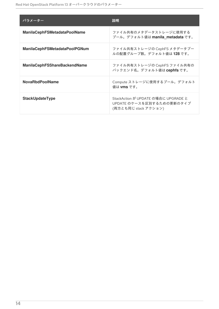| パラメーター                               | 説明                                                                                       |
|--------------------------------------|------------------------------------------------------------------------------------------|
| <b>ManilaCephFSMetadataPoolName</b>  | ファイル共有のメタデータストレージに使用する<br>プール。デフォルト値はmanila_metadataです。                                  |
| <b>ManilaCephFSMetadataPoolPGNum</b> | ファイル共有ストレージの CephFS メタデータプー<br>ルの配置グループ数。デフォルト値は128です。                                   |
| <b>ManilaCephFSShareBackendName</b>  | ファイル共有ストレージの CephFS ファイル共有の<br>バックエンド名。デフォルト値は cephfs です。                                |
| <b>NovaRbdPoolName</b>               | Compute ストレージに使用するプール。デフォルト<br>値は <b>vms</b> です。                                         |
| <b>StackUpdateType</b>               | StackAction が UPDATE の場合に UPGRADE と<br>UPDATE のケースを区別するための更新のタイプ<br>(両方とも同じ stack アクション) |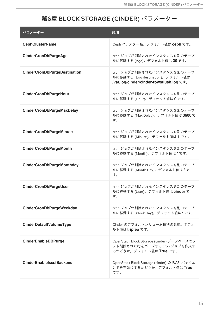# 第6章 BLOCK STORAGE (CINDER) パラメーター

<span id="page-18-0"></span>

| パラメーター                              | 説明                                                                                                         |
|-------------------------------------|------------------------------------------------------------------------------------------------------------|
| <b>CephClusterName</b>              | Ceph クラスター名。デフォルト値は ceph です。                                                                               |
| <b>CinderCronDbPurgeAge</b>         | cron ジョブが削除されたインスタンスを別のテーブ<br>ルに移動する (Age)。デフォルト値は 30 です。                                                  |
| <b>CinderCronDbPurgeDestination</b> | cron ジョブが削除されたインスタンスを別のテーブ<br>ルに移動する (Log destination)。デフォルト値は<br>/var/log/cinder/cinder-rowsflush.log です。 |
| <b>CinderCronDbPurgeHour</b>        | cron ジョブが削除されたインスタンスを別のテーブ<br>ルに移動する (Hour)。デフォルト値は0です。                                                    |
| <b>CinderCronDbPurgeMaxDelay</b>    | cron ジョブが削除されたインスタンスを別のテーブ<br>ルに移動する (Max Delay)。デフォルト値は 3600 で<br>す。                                      |
| <b>CinderCronDbPurgeMinute</b>      | cron ジョブが削除されたインスタンスを別のテーブ<br>ルに移動する (Minute)。デフォルト値は1です。                                                  |
| <b>CinderCronDbPurgeMonth</b>       | cron ジョブが削除されたインスタンスを別のテーブ<br>ルに移動する (Month)。デフォルト値は * です。                                                 |
| <b>CinderCronDbPurgeMonthday</b>    | cron ジョブが削除されたインスタンスを別のテーブ<br>ルに移動する (Month Day)。デフォルト値は*で<br>す。                                           |
| <b>CinderCronDbPurgeUser</b>        | cron ジョブが削除されたインスタンスを別のテーブ<br>ルに移動する (User)。デフォルト値は cinder で<br>す。                                         |
| <b>CinderCronDbPurgeWeekday</b>     | cron ジョブが削除されたインスタンスを別のテーブ<br>ルに移動する (Week Day)。デフォルト値は* です。                                               |
| CinderDefaultVolumeType             | Cinder のデフォルトボリューム種別の名前。デフォ<br>ルト値は tripleo です。                                                            |
| <b>CinderEnableDBPurge</b>          | OpenStack Block Storage (cinder) データベースでソ<br>フト削除された行をパージする cron ジョブを作成す<br>るかどうか。デフォルト値は True です。         |
| <b>CinderEnableIscsiBackend</b>     | OpenStack Block Storage (cinder) の iSCSI バックエ<br>ンドを有効にするかどうか。デフォルト値はTrue<br>です。                           |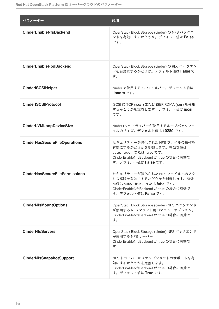| パラメーター                                | 説明                                                                                                                                                   |
|---------------------------------------|------------------------------------------------------------------------------------------------------------------------------------------------------|
| <b>CinderEnableNfsBackend</b>         | OpenStack Block Storage (cinder) の NFS バックエ<br>ンドを有効にするかどうか。デフォルト値はFalse<br>です。                                                                      |
| <b>CinderEnableRbdBackend</b>         | OpenStack Block Storage (cinder) の Rbd バックエン<br>ドを有効にするかどうか。デフォルト値は False で<br>す。                                                                    |
| <b>CinderISCSIHelper</b>              | cinder で使用する iSCSI ヘルパー。デフォルト値は<br>lioadm です。                                                                                                        |
| <b>CinderISCSIProtocol</b>            | iSCSI に TCP (iscsi) または iSER RDMA (iser) を使用<br>するかどうかを定義します。デフォルト値は iscsi<br>です。                                                                    |
| <b>CinderLVMLoopDeviceSize</b>        | cinder LVM ドライバーが使用するループバックファ<br>イルのサイズ。デフォルト値は10280です。                                                                                              |
| <b>CinderNasSecureFileOperations</b>  | セキュリティーが強化された NFS ファイルの操作を<br>有効にするかどうかを制御します。有効な値は<br>auto、true、または false です。<br>CinderEnableNfsBackend が true の場合に有効で<br>す。デフォルト値は False です。       |
| <b>CinderNasSecureFilePermissions</b> | セキュリティーが強化された NFS ファイルへのアク<br>セス権限を有効にするかどうかを制御します。有効<br>な値は auto、true、または false です。<br>CinderEnableNfsBackend が true の場合に有効で<br>す。デフォルト値は False です。 |
| <b>CinderNfsMountOptions</b>          | OpenStack Block Storage (cinder) NFS バックエンド<br>が使用する NFS マウント用のマウントオプション。<br>CinderEnableNfsBackend が true の場合に有効で<br>す。                             |
| <b>CinderNfsServers</b>               | OpenStack Block Storage (cinder) NFS バックエンド<br>が使用する NFS サーバー。<br>CinderEnableNfsBackend が true の場合に有効で<br>す。                                        |
| <b>CinderNfsSnapshotSupport</b>       | NFS ドライバーのスナップショットのサポートを有<br>効にするかどうかを定義します。<br>CinderEnableNfsBackend が true の場合に有効で<br>す。デフォルト値は True です。                                          |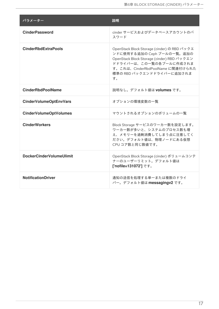| パラメーター                          | 説明                                                                                                                                                                                                                        |
|---------------------------------|---------------------------------------------------------------------------------------------------------------------------------------------------------------------------------------------------------------------------|
| <b>CinderPassword</b>           | cinder サービスおよびデータベースアカウントのパ<br>スワード                                                                                                                                                                                       |
| <b>CinderRbdExtraPools</b>      | OpenStack Block Storage (cinder) の RBD バックエ<br>ンドに使用する追加の Ceph プールの一覧。追加の<br>OpenStack Block Storage (cinder) RBD バックエン<br>ドドライバーは、この一覧の各プールに作成されま<br>す。これは、CinderRbdPoolName に関連付けられた<br>標準の RBD バックエンドドライバーに追加されま<br>す。 |
| <b>CinderRbdPoolName</b>        | 説明なし。デフォルト値は volumes です。                                                                                                                                                                                                  |
| <b>CinderVolumeOptEnvVars</b>   | オプションの環境変数の一覧                                                                                                                                                                                                             |
| <b>CinderVolumeOptVolumes</b>   | マウントされるオプションのボリュームの一覧                                                                                                                                                                                                     |
| <b>CinderWorkers</b>            | Block Storage サービスのワーカー数を設定します。<br>ワーカー数が多いと、システムのプロセス数も増<br>え、メモリーを過剰消費してしまう点に注意してく<br>ださい。デフォルト値は、物理ノードにある仮想<br>CPUコア数と同じ数値です。                                                                                          |
| <b>DockerCinderVolumeUlimit</b> | OpenStack Block Storage (cinder) ボリュームコンテ<br>ナーのユーザーリミット。デフォルト値は<br>['nofile=131072'] です。                                                                                                                                 |
| <b>NotificationDriver</b>       | 通知の送信を処理する単一または複数のドライ<br>バー。デフォルト値は messagingv2 です。                                                                                                                                                                       |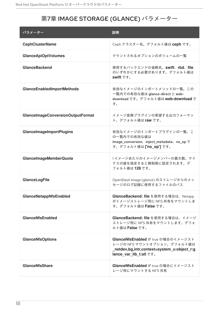## 第7章 IMAGE STORAGE (GLANCE) パラメーター

<span id="page-21-0"></span>

| パラメーター                            | 説明                                                                                                                                       |
|-----------------------------------|------------------------------------------------------------------------------------------------------------------------------------------|
| <b>CephClusterName</b>            | Ceph クラスター名。デフォルト値は ceph です。                                                                                                             |
| <b>GlanceApiOptVolumes</b>        | マウントされるオプションのボリュームの一覧                                                                                                                    |
| <b>GlanceBackend</b>              | 使用するバックエンドの省略名。swift、rbd、file<br>のいずれかにする必要があります。デフォルト値は<br>swift です。                                                                    |
| GlanceEnabledImportMethods        | 有効なイメージのインポートメソッドの一覧。この<br>一覧内での有効な値は glance-direct と web-<br>download です。デフォルト値は web-download で<br>す。                                   |
| GlanceImageConversionOutputFormat | イメージ変換プラグインの希望する出力フォーマッ<br>ト。デフォルト値は raw です。                                                                                             |
| <b>GlanceImageImportPlugins</b>   | 有効なイメージのインポートプラグインの一覧。こ<br>の一覧内での有効な値は<br>image_conversion, inject_metadata, no_op で<br>す。デフォルト値は ['no_op'] です。                          |
| <b>GlanceImageMemberQuota</b>     | 1イメージあたりのイメージメンバーの最大数。マイ<br>ナスの値を指定すると無制限に設定されます。デ<br>フォルト値は128です。                                                                       |
| <b>GlanceLogFile</b>              | OpenStack Image (glance) のストレージからのメッ<br>セージのログ記録に使用するファイルのパス                                                                             |
| GlanceNetappNfsEnabled            | GlanceBackend: file を使用する場合は、Netapp<br>がイメージストレージ用に NFS 共有をマウントしま<br>す。デフォルト値は False です。                                                 |
| <b>GlanceNfsEnabled</b>           | GlanceBackend: file を使用する場合は、イメージ<br>ストレージ用に NFS 共有をマウントします。デフォ<br>ルト値は False です。                                                        |
| <b>GlanceNfsOptions</b>           | GlanceNfsEnabled が true の場合のイメージスト<br>レージの NFS マウントオプション。デフォルト値は<br>netdev,bg,intr,context=system_u:object_r:g<br>lance_var_lib_t:s0 です。 |
| <b>GlanceNfsShare</b>             | GlanceNfsEnabled が true の場合にイメージスト<br>レージ用にマウントする NFS 共有                                                                                 |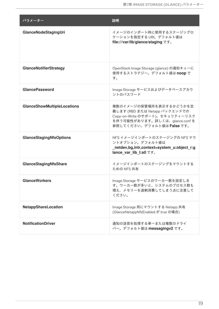| パラメーター                             | 説明                                                                                                                                                          |
|------------------------------------|-------------------------------------------------------------------------------------------------------------------------------------------------------------|
| GlanceNodeStagingUri               | イメージのインポート時に使用するステージングロ<br>ケーションを指定する URI。デフォルト値は<br>file:///var/lib/glance/staging です。                                                                     |
| <b>GlanceNotifierStrategy</b>      | OpenStack Image Storage (glance) の通知キューに<br>使用するストラテジー。デフォルト値は noop で<br>す。                                                                                 |
| <b>GlancePassword</b>              | Image Storage サービスおよびデータベースアカウ<br>ントのパスワード                                                                                                                  |
| <b>GlanceShowMultipleLocations</b> | 複数のイメージの保管場所を表示するかどうかを定<br>義します (RBD または Netapp バックエンドでの<br>Copy-on-Write のサポート)。セキュリティーリスク<br>を伴う可能性があります。詳しくは、qlance.conf を<br>参照してください。デフォルト値は False です。 |
| <b>GlanceStagingNfsOptions</b>     | NFS イメージインポートのステージングの NFS マウ<br>ントオプション。デフォルト値は<br>_netdev,bg,intr,context=system_u:object_r:g<br>lance_var_lib_t:s0です。                                     |
| GlanceStagingNfsShare              | イメージインポートのステージングをマウントする<br>ための NFS 共有                                                                                                                       |
| <b>GlanceWorkers</b>               | Image Storage サービスのワーカー数を設定しま<br>す。ワーカー数が多いと、システムのプロセス数も<br>増え、メモリーを過剰消費してしまう点に注意して<br>ください。                                                                |
| <b>NetappShareLocation</b>         | Image Storage 用にマウントする Netapp 共有<br>(GlanceNetappNfsEnabled が true の場合)                                                                                     |
| <b>NotificationDriver</b>          | 通知の送信を処理する単一または複数のドライ<br>バー。デフォルト値は messagingv2 です。                                                                                                         |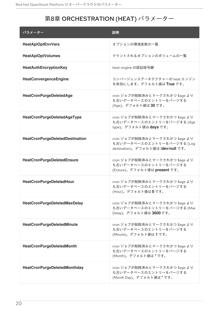## 第8章 ORCHESTRATION (HEAT) パラメーター

<span id="page-23-0"></span>

| パラメーター                                 | 説明                                                                                                |
|----------------------------------------|---------------------------------------------------------------------------------------------------|
| <b>HeatApiOptEnvVars</b>               | オプションの環境変数の一覧                                                                                     |
| <b>HeatApiOptVolumes</b>               | マウントされるオプションのボリュームの一覧                                                                             |
| <b>HeatAuthEncryptionKey</b>           | heat-engine の認証暗号鍵                                                                                |
| <b>HeatConvergenceEngine</b>           | コンバージェンスアーキテクチャーの heat エンジン<br>を有効にします。デフォルト値は True です。                                           |
| <b>HeatCronPurgeDeletedAge</b>         | cron ジョブが削除済みとマークされかつ \$age より<br>も古いデータベースのエントリーをパージする<br>(Age)。デフォルト値は30です。                     |
| HeatCronPurgeDeletedAgeType            | cron ジョブが削除済みとマークされかつ \$age より<br>も古いデータベースのエントリーをパージする (Age<br>type)。デフォルト値は days です。            |
| <b>HeatCronPurgeDeletedDestination</b> | cron ジョブが削除済みとマークされかつ \$age より<br>も古いデータベースのエントリーをパージする (Log<br>destination)。デフォルト値は/dev/null です。 |
| <b>HeatCronPurgeDeletedEnsure</b>      | cron ジョブが削除済みとマークされかつ \$age より<br>も古いデータベースのエントリーをパージする<br>(Ensure)。デフォルト値は present です。           |
| <b>HeatCronPurgeDeletedHour</b>        | cron ジョブが削除済みとマークされかつ \$age より<br>も古いデータベースのエントリーをパージする<br>(Hour)。デフォルト値は0です。                     |
| <b>HeatCronPurgeDeletedMaxDelay</b>    | cron ジョブが削除済みとマークされかつ \$age より<br>も古いデータベースのエントリーをパージする (Max<br>Delay)。デフォルト値は 3600 です。           |
| <b>HeatCronPurgeDeletedMinute</b>      | cron ジョブが削除済みとマークされかつ \$age より<br>も古いデータベースのエントリーをパージする<br>(Minute)。デフォルト値は1です。                   |
| <b>HeatCronPurgeDeletedMonth</b>       | cron ジョブが削除済みとマークされかつ \$age より<br>も古いデータベースのエントリーをパージする<br>(Month)。デフォルト値は*です。                    |
| <b>HeatCronPurgeDeletedMonthday</b>    | cron ジョブが削除済みとマークされかつ \$age より<br>も古いデータベースのエントリーをパージする<br>(Month Day)。デフォルト値は*です。                |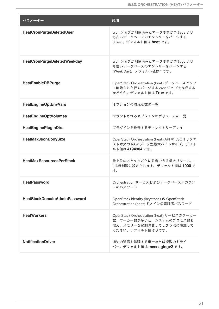| パラメーター                              | 説明                                                                                                                 |
|-------------------------------------|--------------------------------------------------------------------------------------------------------------------|
| <b>HeatCronPurgeDeletedUser</b>     | cron ジョブが削除済みとマークされかつ \$age より<br>も古いデータベースのエントリーをパージする<br>(User)。デフォルト値は heat です。                                 |
| <b>HeatCronPurgeDeletedWeekday</b>  | cron ジョブが削除済みとマークされかつ \$age より<br>も古いデータベースのエントリーをパージする<br>(Week Day)。デフォルト値は*です。                                  |
| <b>HeatEnableDBPurge</b>            | OpenStack Orchestration (heat) データベースでソフ<br>ト削除された行をパージする cron ジョブを作成する<br>かどうか。デフォルト値は True です。                   |
| HeatEngineOptEnvVars                | オプションの環境変数の一覧                                                                                                      |
| <b>HeatEngineOptVolumes</b>         | マウントされるオプションのボリュームの一覧                                                                                              |
| <b>HeatEnginePluginDirs</b>         | プラグインを検索するディレクトリーアレイ                                                                                               |
| HeatMaxJsonBodySize                 | OpenStack Orchestration (heat) API の JSON リクエ<br>スト本文の RAW データ型最大バイトサイズ。デフォ<br>ルト値は4194304です。                      |
| <b>HeatMaxResourcesPerStack</b>     | 最上位のスタックごとに許容できる最大リソース。-<br>1は無制限に設定されます。デフォルト値は1000で<br>す。                                                        |
| <b>HeatPassword</b>                 | Orchestration サービスおよびデータベースアカウン<br>トのパスワード                                                                         |
| <b>HeatStackDomainAdminPassword</b> | OpenStack Identity (keystone) の OpenStack<br>Orchestration (heat) ドメインの管理者パスワード                                    |
| <b>HeatWorkers</b>                  | OpenStack Orchestration (heat) サービスのワーカー<br>数。ワーカー数が多いと、システムのプロセス数も<br>増え、メモリーを過剰消費してしまう点に注意して<br>ください。デフォルト値は0です。 |
| <b>NotificationDriver</b>           | 通知の送信を処理する単一または複数のドライ<br>バー。デフォルト値は messagingv2 です。                                                                |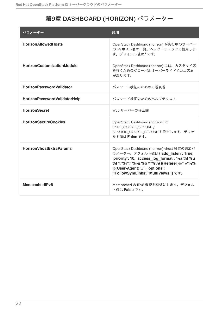## 第9章 DASHBOARD (HORIZON) パラメーター

<span id="page-25-0"></span>

| パラメーター                            | 説明                                                                                                                                                                                                                                                              |
|-----------------------------------|-----------------------------------------------------------------------------------------------------------------------------------------------------------------------------------------------------------------------------------------------------------------|
| <b>HorizonAllowedHosts</b>        | OpenStack Dashboard (horizon) が実行中のサーバー<br>のIP/ホスト名の一覧。ヘッダーチェックに使用しま<br>す。デフォルト値は * です。                                                                                                                                                                         |
| <b>HorizonCustomizationModule</b> | OpenStack Dashboard (horizon) には、カスタマイズ<br>を行うためのグローバルオーバーライドメカニズム<br>があります。                                                                                                                                                                                    |
| <b>HorizonPasswordValidator</b>   | パスワード検証のための正規表現                                                                                                                                                                                                                                                 |
| HorizonPasswordValidatorHelp      | パスワード検証のためのヘルプテキスト                                                                                                                                                                                                                                              |
| <b>HorizonSecret</b>              | Web サーバーの秘密鍵                                                                                                                                                                                                                                                    |
| <b>HorizonSecureCookies</b>       | OpenStack Dashboard (horizon) で<br>CSRF_COOKIE_SECURE /<br>SESSION_COOKIE_SECURE を設定します。デフォ<br>ルト値は False です。                                                                                                                                                   |
| <b>HorizonVhostExtraParams</b>    | OpenStack Dashboard (horizon) vhost 設定の追加パ<br>ラメーター。デフォルト値は {'add_listen': True,<br>'priority': 10, 'access_log_format': '%a %l %u<br>%t \\"%r\\" %>s %b \\"%%{}{Referer}i\\" \\"%%<br>{}{User-Agent}i\\"', 'options':<br>['FollowSymLinks', 'MultiViews']} です。 |
| MemcachedIPv6                     | Memcached の IPv6 機能を有効にします。デフォル<br>ト値は False です。                                                                                                                                                                                                                |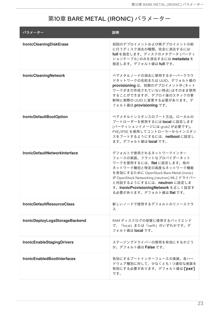## 第10章 BARE METAL (IRONIC) パラメーター

<span id="page-26-0"></span>

| パラメーター                               | 説明                                                                                                                                                                                                                                                                                              |
|--------------------------------------|-------------------------------------------------------------------------------------------------------------------------------------------------------------------------------------------------------------------------------------------------------------------------------------------------|
| <b>IronicCleaningDiskErase</b>       | 初回のデプロイメントおよび再デプロイメントの前<br>に行うディスク消去の種類。完全に消去するには<br>full を指定します。ディスクのメタデータ (パーティ<br>ションテーブル) のみを消去するには metadata を<br>指定します。デフォルト値は full です。                                                                                                                                                    |
| <b>IronicCleaningNetwork</b>         | ベアメタルノードの消去に使用するオーバークラウ<br>ドネットワークの名前または UUID。デフォルト値の<br>provisioning は、初期のデプロイメント中(ネット<br>ワークがまだ作成されていない時点)はそのまま使用<br>することができますが、デプロイ後のスタックの更<br>新時に実際の UUID に変更する必要があります。デ<br>フォルト値は provisioning です。                                                                                         |
| <b>IronicDefaultBootOption</b>       | ベアメタルインスタンスのブート方法。ローカルの<br>ブートローダーを使用するには local に設定します<br>(パーティションイメージには grub2 が必要です)。<br>PXE/iPXE を使用してコントローラーからインスタン<br>スをブートするようにするには、netboot に設定し<br>ます。デフォルト値は local です。                                                                                                                   |
| <b>IronicDefaultNetworkInterface</b> | デフォルトで使用されるネットワークインター<br>フェースの実装。フラットなプロバイダーネット<br>ワークを使用するには、flatに設定します。他の<br>ネットワーク種別と特定の高度なネットワーク機能<br>を有効にするために OpenStack Bare Metal (ironic)<br>が OpenStack Networking (neutron) ML2 ドライバー<br>と対話するようにするには、neutronに設定しま<br>す。IronicProvisioningNetwork を正しく設定す<br>る必要があります。デフォルト値はflat です。 |
| <b>IronicDefaultResourceClass</b>    | 新しいノードで使用するデフォルトのリソースクラ<br>ス                                                                                                                                                                                                                                                                    |
| IronicDeployLogsStorageBackend       | RAM ディスクログの保管に使用するバックエンド<br>で、「local」または「swift」のいずれかです。デ<br>フォルト値は local です。                                                                                                                                                                                                                    |
| <b>IronicEnableStagingDrivers</b>    | ステージングドライバーの使用を有効にするかどう<br>か。デフォルト値は False です。                                                                                                                                                                                                                                                  |
| <b>IronicEnabledBootInterfaces</b>   | 有効にするブートインターフェースの実装。各ハー<br>ドウェア種別に対して、少なくとも1つ適切な実装を<br>有効にする必要があります。デフォルト値は ['pxe']<br>です。                                                                                                                                                                                                      |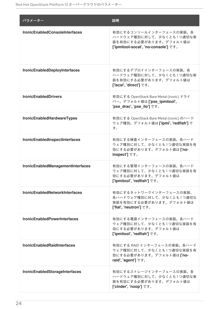| パラメーター                                | 説明                                                                                                                    |
|---------------------------------------|-----------------------------------------------------------------------------------------------------------------------|
| <b>IronicEnabledConsoleInterfaces</b> | 有効にするコンソールインターフェースの実装。各<br>ハードウェア種別に対して、少なくとも1つ適切な実<br>装を有効にする必要があります。デフォルト値は<br>['ipmitool-socat', 'no-console'] です。 |
| IronicEnabledDeployInterfaces         | 有効にするデプロイインターフェースの実装。各<br>ハードウェア種別に対して、少なくとも1つ適切な実<br>装を有効にする必要があります。デフォルト値は<br>['iscsi', 'direct'] です。               |
| <b>IronicEnabledDrivers</b>           | 有効にする OpenStack Bare Metal (ironic) ドライ<br>バー。デフォルト値は ['pxe_ipmitool',<br>'pxe drac', 'pxe ilo'] です。                  |
| IronicEnabledHardwareTypes            | 有効にする OpenStack Bare Metal (ironic) のハード<br>ウェア種別。デフォルト値は ['ipmi', 'redfish'] で<br>す。                                 |
| IronicEnabledInspectInterfaces        | 有効にする検査インターフェースの実装。各ハード<br>ウェア種別に対して、少なくとも1つ適切な実装を有<br>効にする必要があります。デフォルト値は ['no-<br>inspect'] です。                     |
| IronicEnabledManagementInterfaces     | 有効にする管理インターフェースの実装。各ハード<br>ウェア種別に対して、少なくとも1つ適切な実装を有<br>効にする必要があります。デフォルト値は<br>['ipmitool', 'redfish'] です。             |
| <b>IronicEnabledNetworkInterfaces</b> | 有効にするネットワークインターフェースの実装。<br>各ハードウェア種別に対して、少なくとも1つ適切な<br>実装を有効にする必要があります。デフォルト値は<br>['flat', 'neutron'] です。             |
| <b>IronicEnabledPowerInterfaces</b>   | 有効にする電源インターフェースの実装。各ハード<br>ウェア種別に対して、少なくとも1つ適切な実装を有<br>効にする必要があります。デフォルト値は<br>['ipmitool', 'redfish'] です。             |
| <b>IronicEnabledRaidInterfaces</b>    | 有効にする RAID インターフェースの実装。各ハード<br>ウェア種別に対して、少なくとも1つ適切な実装を有<br>効にする必要があります。デフォルト値は ['no-<br>raid', 'agent'] です。           |
| IronicEnabledStorageInterfaces        | 有効にするストレージインターフェースの実装。各<br>ハードウェア種別に対して、少なくとも1つ適切な実<br>装を有効にする必要があります。デフォルト値は<br>['cinder', 'noop'] です。               |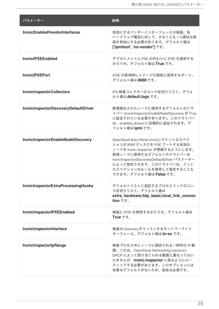| パラメーター                                       | 説明                                                                                                                                                                                                                                                                    |
|----------------------------------------------|-----------------------------------------------------------------------------------------------------------------------------------------------------------------------------------------------------------------------------------------------------------------------|
| <b>IronicEnabledVendorInterfaces</b>         | 有効にするベンダーインターフェースの実装。各<br>ハードウェア種別に対して、少なくとも1つ適切な実<br>装を有効にする必要があります。デフォルト値は<br>['ipmitool', 'no-vendor'] です。                                                                                                                                                         |
| <b>IronicIPXEEnabled</b>                     | デプロイメントに PXE の代わりに iPXE を使用する<br>かどうか。デフォルト値は True です。                                                                                                                                                                                                                |
| <b>IronicIPXEPort</b>                        | iPXE の使用時にイメージの提供に使用するポート。<br>デフォルト値は8088です。                                                                                                                                                                                                                          |
| <b>IronicInspectorCollectors</b>             | IPA検査コレクターのコンマ区切りリスト。デフォ<br>ルト値は default,logs です。                                                                                                                                                                                                                     |
| <b>IronicInspectorDiscoveryDefaultDriver</b> | 新規検出されたノードに使用するデフォルトのドラ<br>イバー (IronicInspectorEnableNodeDiscovery が True<br>に設定されている必要があります)。このドライバー<br>は、enabled_drivers に自動的に追加されます。デ<br>フォルト値はipmiです。                                                                                                             |
| <b>IronicInspectorEnableNodeDiscovery</b>    | OpenStack Bare Metal (ironic) でイントロスペク<br>ションの RAM ディスクを PXE ブートする未知の<br>ノードを ironic-inspector が登録するようにします。<br>新規ノードに使用するデフォルトのドライバーは<br>IronicInspectorDiscoveryDefaultDriver パラメーター<br>によって指定されます。このドライバーは、イント<br>ロスペクションのルールを使用して指定することも<br>できます。デフォルト値は False です。 |
| <b>IronicInspectorExtraProcessingHooks</b>   | デフォルトリストに追記するプロセスフックのコン<br>マ区切りリスト。デフォルト値は<br>extra_hardware, Ildp_basic, local_link_connec<br>tion です。                                                                                                                                                               |
| <b>IronicInspectorIPXEEnabled</b>            | 検査に iPXE を使用するかどうか。デフォルト値は<br>True です。                                                                                                                                                                                                                                |
| IronicInspectorInterface                     | 検査の dnsmasq がリッスンするネットワークイン<br>ターフェース。デフォルト値は br-ex です。                                                                                                                                                                                                               |
| IronicInspectorIpRange                       | 検査プロセス中にノードに提供される一時的な IP 範<br>囲。これは、OpenStack Networking (neutron)<br>DHCP によって割り当てられる範囲と重なってはい<br>けませんが、ironic-inspector に戻るようにルー<br>ティングする必要があります。このオプションには<br>有意なデフォルトがないため、設定は必須です。                                                                               |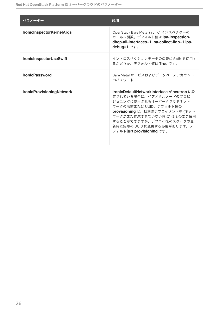| パラメーター                           | 説明                                                                                                                                                                                                                                                                         |
|----------------------------------|----------------------------------------------------------------------------------------------------------------------------------------------------------------------------------------------------------------------------------------------------------------------------|
| <b>IronicInspectorKernelArgs</b> | OpenStack Bare Metal (ironic) インスペクターの<br>カーネル引数。デフォルト値はipa-inspection-<br>dhcp-all-interfaces=1 ipa-collect-lldp=1 ipa-<br>debug=1 $\tau$ す。                                                                                                                              |
| <b>IronicInspectorUseSwift</b>   | イントロスペクションデータの保管に Swift を使用す<br>るかどうか。デフォルト値は True です。                                                                                                                                                                                                                     |
| <b>IronicPassword</b>            | Bare Metal サービスおよびデータベースアカウント<br>のパスワード                                                                                                                                                                                                                                    |
| <b>IronicProvisioningNetwork</b> | IronicDefaultNetworkInterface が neutron に設<br>定されている場合に、ベアメタルノードのプロビ<br>ジョニングに使用されるオーバークラウドネット<br>ワークの名前または UUID。デフォルト値の<br>provisioning は、初期のデプロイメント中(ネット<br>ワークがまだ作成されていない時点)はそのまま使用<br>することができますが、デプロイ後のスタックの更<br>新時に実際の UUID に変更する必要があります。デ<br>フォルト値は provisioning です。 |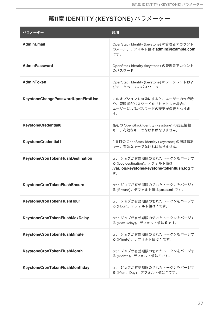# 第11章 IDENTITY (KEYSTONE) パラメーター

<span id="page-30-0"></span>

| パラメーター                             | 説明                                                                                                                    |
|------------------------------------|-----------------------------------------------------------------------------------------------------------------------|
| <b>AdminEmail</b>                  | OpenStack Identity (keystone) の管理者アカウント<br>のメール。デフォルト値はadmin@example.com<br>です。                                       |
| <b>AdminPassword</b>               | OpenStack Identity (keystone) の管理者アカウント<br>のパスワード                                                                     |
| AdminToken                         | OpenStack Identity (keystone) のシークレットおよ<br>びデータベースのパスワード                                                              |
| KeystoneChangePasswordUponFirstUse | このオプションを有効にすると、ユーザーの作成時<br>や、管理者がパスワードをリセットした場合に、<br>ユーザーによるパスワードの変更が必要となりま<br>す。                                     |
| <b>KeystoneCredential0</b>         | 最初の OpenStack Identity (keystone) の認証情報<br>キー。有効なキーでなければなりません。                                                        |
| <b>KeystoneCredential1</b>         | 2番目の OpenStack Identity (keystone) の認証情報<br>キー。有効なキーでなければなりません。                                                       |
| KeystoneCronTokenFlushDestination  | cron ジョブが有効期限の切れたトークンをパージす<br>る (Log destination)。デフォルト値は<br>/var/log/keystone/keystone-tokenflush.log $\infty$<br>す。 |
| KeystoneCronTokenFlushEnsure       | cron ジョブが有効期限の切れたトークンをパージす<br>る (Ensure)。デフォルト値は present です。                                                          |
| KeystoneCronTokenFlushHour         | cron ジョブが有効期限の切れたトークンをパージす<br>る (Hour)。デフォルト値は * です。                                                                  |
| KeystoneCronTokenFlushMaxDelay     | cron ジョブが有効期限の切れたトークンをパージす<br>る (Max Delay)。デフォルト値は0です。                                                               |
| KeystoneCronTokenFlushMinute       | cron ジョブが有効期限の切れたトークンをパージす<br>る (Minute)。デフォルト値は1です。                                                                  |
| KeystoneCronTokenFlushMonth        | cron ジョブが有効期限の切れたトークンをパージす<br>る(Month)。デフォルト値は*です。                                                                    |
| KeystoneCronTokenFlushMonthday     | cron ジョブが有効期限の切れたトークンをパージす<br>る (Month Day)。デフォルト値は * です。                                                             |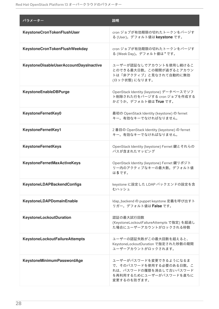| パラメーター                                 | 説明                                                                                                                     |
|----------------------------------------|------------------------------------------------------------------------------------------------------------------------|
| KeystoneCronTokenFlushUser             | cron ジョブが有効期限の切れたトークンをパージす<br>る (User)。デフォルト値は keystone です。                                                            |
| KeystoneCronTokenFlushWeekday          | cron ジョブが有効期限の切れたトークンをパージす<br>る (Week Day)。デフォルト値は * です。                                                               |
| KeystoneDisableUserAccountDaysInactive | ユーザーが認証なしでアカウントを使用し続けるこ<br>とのできる最大日数。この期間が過ぎるとアカウン<br>トは「非アクティブ」と見なされて自動的に無効<br>(ロック状態)になります。                          |
| <b>KeystoneEnableDBPurge</b>           | OpenStack Identity (keystone) データベースでソフ<br>ト削除された行をパージする cron ジョブを作成する<br>かどうか。デフォルト値は True です。                        |
| KeystoneFernetKey0                     | 最初の OpenStack Identity (keystone) の fernet<br>キー。有効なキーでなければなりません。                                                      |
| KeystoneFernetKey1                     | 2 番目の OpenStack Identity (keystone) の fernet<br>キー。有効なキーでなければなりません。                                                    |
| <b>KeystoneFernetKeys</b>              | OpenStack Identity (keystone) Fernet 鍵とそれらの<br>パスが含まれたマッピング                                                            |
| <b>KeystoneFernetMaxActiveKeys</b>     | OpenStack Identity (keystone) Fernet 鍵リポジト<br>リー内のアクティブなキーの最大数。デフォルト値<br>は5です。                                         |
| <b>KeystoneLDAPBackendConfigs</b>      | keystone に設定した LDAP バックエンドの設定を含<br>むハッシュ                                                                               |
| KeystoneLDAPDomainEnable               | Idap_backend の puppet keystone 定義を呼び出すト<br>リガー。デフォルト値はFalse です。                                                        |
| KeystoneLockoutDuration                | 認証の最大試行回数<br>(KeystoneLockoutFailureAttempts で指定)を超過し<br>た場合にユーザーアカウントがロックされる秒数                                        |
| <b>KeystoneLockoutFailureAttempts</b>  | ユーザーの認証失敗がこの最大回数を超えると、<br>KeystoneLockoutDuration で指定された秒数の期間<br>ユーザーアカウントがロックされます。                                    |
| KeystoneMinimumPasswordAge             | ユーザーがパスワードを変更できるようになるま<br>で、そのパスワードを使用する必要のある日数。こ<br>れは、パスワードの履歴を消去して古いパスワード<br>を再利用するためにユーザーがパスワードを直ちに<br>変更するのを防ぎます。 |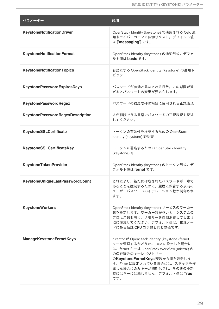| パラメーター                                  | 説明                                                                                                                                                                                                                                                                            |
|-----------------------------------------|-------------------------------------------------------------------------------------------------------------------------------------------------------------------------------------------------------------------------------------------------------------------------------|
| KeystoneNotificationDriver              | OpenStack Identity (keystone) で使用される Oslo 通<br>知ドライバーのコンマ区切りリスト。デフォルト値<br>は ['messaging'] です。                                                                                                                                                                                 |
| <b>KeystoneNotificationFormat</b>       | OpenStack Identity (keystone) の通知形式。デフォ<br>ルト値は basic です。                                                                                                                                                                                                                     |
| KeystoneNotificationTopics              | 有効にする OpenStack Identity (keystone) の通知ト<br>ピック                                                                                                                                                                                                                               |
| <b>KeystonePasswordExpiresDays</b>      | パスワードが有効と見なされる日数。この期間が過<br>ぎるとパスワードの変更が要求されます。                                                                                                                                                                                                                                |
| <b>KeystonePasswordRegex</b>            | パスワードの強度要件の検証に使用される正規表現                                                                                                                                                                                                                                                       |
| <b>KeystonePasswordRegexDescription</b> | 人が判読できる言語でパスワードの正規表現を記述<br>してください。                                                                                                                                                                                                                                            |
| KeystoneSSLCertificate                  | トークンの有効性を検証するための OpenStack<br>Identity (keystone) 証明書                                                                                                                                                                                                                         |
| KeystoneSSLCertificateKey               | トークンに署名するための OpenStack Identity<br>(keystone) キー                                                                                                                                                                                                                              |
| KeystoneTokenProvider                   | OpenStack Identity (keystone) のトークン形式。デ<br>フォルト値は fernet です。                                                                                                                                                                                                                  |
| KeystoneUniqueLastPasswordCount         | これにより、新たに作成されたパスワードが一意で<br>あることを強制するために、履歴に保管する以前の<br>ユーザーパスワードのイテレーション数が制御され<br>ます。                                                                                                                                                                                          |
| <b>KeystoneWorkers</b>                  | OpenStack Identity (keystone) サービスのワーカー<br>数を設定します。ワーカー数が多いと、システムの<br>プロセス数も増え、メモリーを過剰消費してしまう<br>点に注意してください。デフォルト値は、物理ノー<br>ドにある仮想 CPU コア数と同じ数値です。                                                                                                                            |
| <b>ManageKeystoneFernetKeys</b>         | director が OpenStack Identity (keystone) fernet<br>キーを管理するかどうか。True に設定した場合に<br>は、fernet キーは OpenStack Workflow (mistral) 内<br>の保存済みのキーレポジトリー<br>のKeystoneFernetKeys 変数から値を取得しま<br>す。False に設定されている場合には、スタックを作<br>成した場合にのみキーが初期化され、その後の更新<br>時にはキーには触れません。デフォルト値は True<br>です。 |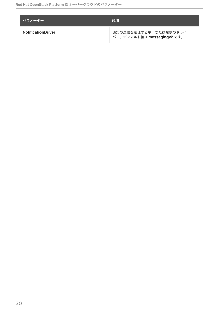| パラメーター                    | 説明                                                  |
|---------------------------|-----------------------------------------------------|
| <b>NotificationDriver</b> | 通知の送信を処理する単一または複数のドライ<br>バー。デフォルト値は messagingv2 です。 |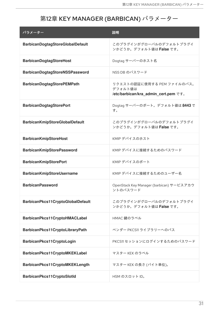# 第12章 KEY MANAGER (BARBICAN) パラメーター

<span id="page-34-0"></span>

| パラメーター                                  | 説明                                                                            |
|-----------------------------------------|-------------------------------------------------------------------------------|
| <b>BarbicanDogtagStoreGlobalDefault</b> | このプラグインがグローバルのデフォルトプラグイ<br>ンかどうか。デフォルト値は False です。                            |
| <b>BarbicanDogtagStoreHost</b>          | Dogtag サーバーのホスト名                                                              |
| <b>BarbicanDogtagStoreNSSPassword</b>   | NSS DB のパスワード                                                                 |
| <b>BarbicanDogtagStorePEMPath</b>       | リクエストの認証に使用する PEM ファイルのパス。<br>デフォルト値は<br>/etc/barbican/kra_admin_cert.pem です。 |
| <b>BarbicanDogtagStorePort</b>          | Dogtag サーバーのポート。デフォルト値は 8443 で<br>す。                                          |
| <b>BarbicanKmipStoreGlobalDefault</b>   | このプラグインがグローバルのデフォルトプラグイ<br>ンかどうか。デフォルト値は False です。                            |
| <b>BarbicanKmipStoreHost</b>            | KMIP デバイスのホスト                                                                 |
| <b>BarbicanKmipStorePassword</b>        | KMIP デバイスに接続するためのパスワード                                                        |
| <b>BarbicanKmipStorePort</b>            | KMIP デバイスのポート                                                                 |
| BarbicanKmipStoreUsername               | KMIP デバイスに接続するためのユーザー名                                                        |
| <b>BarbicanPassword</b>                 | OpenStack Key Manager (barbican) サービスアカウ<br>ントのパスワード                          |
| BarbicanPkcs11CryptoGlobalDefault       | このプラグインがグローバルのデフォルトプラグイ<br>ンかどうか。デフォルト値は False です。                            |
| BarbicanPkcs11CryptoHMACLabel           | HMAC 鍵のラベル                                                                    |
| BarbicanPkcs11CryptoLibraryPath         | ベンダー PKCS11 ライブラリーへのパス                                                        |
| BarbicanPkcs11CryptoLogin               | PKCS11 セッションにログインするためのパスワード                                                   |
| BarbicanPkcs11CryptoMKEKLabel           | マスター KEK のラベル                                                                 |
| BarbicanPkcs11CryptoMKEKLength          | マスター KEK の長さ (バイト単位)。                                                         |
| BarbicanPkcs11CryptoSlotId              | HSM のスロット ID。                                                                 |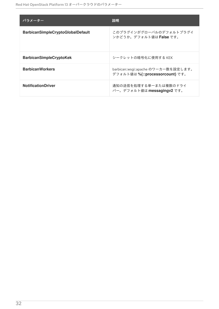| パラメーター                                   | 説明                                                                    |
|------------------------------------------|-----------------------------------------------------------------------|
| <b>BarbicanSimpleCryptoGlobalDefault</b> | このプラグインがグローバルのデフォルトプラグイ<br>ンかどうか。デフォルト値は False です。                    |
| <b>BarbicanSimpleCryptoKek</b>           | シークレットの暗号化に使用する KEK                                                   |
| <b>BarbicanWorkers</b>                   | barbican::wsgi::apache のワーカー数を設定します。<br>デフォルト値は%{::processorcount}です。 |
| <b>NotificationDriver</b>                | 通知の送信を処理する単一または複数のドライ<br>バー。デフォルト値は messagingv2 です。                   |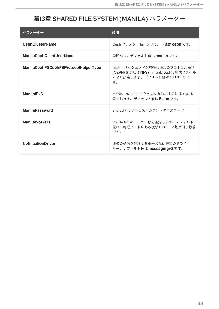# 第13章 SHARED FILE SYSTEM (MANILA) パラメーター

<span id="page-36-0"></span>

| パラメーター                                      | 説明                                                                                                      |
|---------------------------------------------|---------------------------------------------------------------------------------------------------------|
| <b>CephClusterName</b>                      | Ceph クラスター名。デフォルト値は ceph です。                                                                            |
| ManilaCephClientUserName                    | 説明なし。デフォルト値はmanila です。                                                                                  |
| <b>ManilaCephFSCephFSProtocolHelperType</b> | cephfs バックエンドが有効な場合のプロトコル種別<br>(CEPHFS または NFS)。manila cephfs 環境ファイル<br>により設定します。デフォルト値は CEPHFS で<br>す。 |
| ManilalPv6                                  | manila での IPv6 アクセスを有効にするには True に<br>設定します。デフォルト値はFalseです。                                             |
| <b>ManilaPassword</b>                       | Shared File サービスアカウントのパスワード                                                                             |
| <b>ManilaWorkers</b>                        | Manila API のワーカー数を設定します。デフォルト<br>値は、物理ノードにある仮想 CPU コア数と同じ数値<br>です。                                      |
| <b>NotificationDriver</b>                   | 通知の送信を処理する単一または複数のドライ<br>バー。デフォルト値は messagingv2 です。                                                     |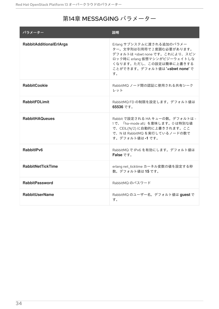#### 第14章 MESSAGING パラメーター

<span id="page-37-0"></span>

| パラメーター                         | 説明                                                                                                                                                                                      |
|--------------------------------|-----------------------------------------------------------------------------------------------------------------------------------------------------------------------------------------|
| <b>RabbitAdditionalErlArgs</b> | Erlang サブシステムに渡される追加のパラメー<br>ター。文字列は引用符で2度囲む必要があります。<br>デフォルトは +sbwt none です。これにより、スピン<br>ロック時に erlang 仮想マシンがビジーウェイトしな<br>くなります。ただし、この設定は簡単に上書きする<br>ことができます。デフォルト値は'+sbwt none'で<br>す。 |
| <b>RabbitCookie</b>            | RabbitMQ ノード間の認証に使用される共有シーク<br>レット                                                                                                                                                      |
| <b>RabbitFDLimit</b>           | RabbitMQ FD の制限を設定します。デフォルト値は<br>65536です。                                                                                                                                               |
| <b>RabbitHAQueues</b>          | Rabbit で設定される HA キューの数。デフォルトは -<br>1で、「ha-mode all」を意味します。0は特別な値<br>で、CEIL(N/2) に自動的に上書きされます。ここ<br>で、Nは RabbitMQ を実行しているノードの数で<br>す。デフォルト値は-1です。                                        |
| RabbitlPv6                     | RabbitMQ で IPv6 を有効にします。デフォルト値は<br>$False$ $\vec{c}$ $\vec{d}$                                                                                                                          |
| <b>RabbitNetTickTime</b>       | erlang net ticktime カーネル変数の値を設定する秒<br>数。デフォルト値は15です。                                                                                                                                    |
| <b>RabbitPassword</b>          | RabbitMQ のパスワード                                                                                                                                                                         |
| <b>RabbitUserName</b>          | RabbitMQ のユーザー名。デフォルト値は guest で<br>す。                                                                                                                                                   |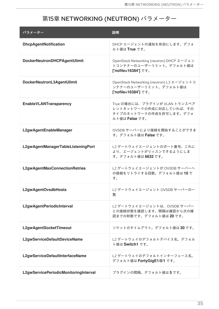## 第15章 NETWORKING (NEUTRON) パラメーター

<span id="page-38-0"></span>

| パラメーター                                | 説明                                                                                                    |
|---------------------------------------|-------------------------------------------------------------------------------------------------------|
| <b>DhcpAgentNotification</b>          | DHCP エージェントの通知を有効にします。デフォ<br>ルト値は True です。                                                            |
| <b>DockerNeutronDHCPAgentUlimit</b>   | OpenStack Networking (neutron) DHCP エージェン<br>トコンテナーのユーザーリミット。デフォルト値は<br>['nofile=16384'] です。          |
| DockerNeutronL3AgentUlimit            | OpenStack Networking (neutron) L3 エージェントコ<br>ンテナーのユーザーリミット。デフォルト値は<br>['nofile=16384'] です。            |
| EnableVLANTransparency                | True の場合には、プラグインが VLAN トランスペア<br>レントネットワークの作成に対応していれば、その<br>タイプのネットワークの作成を許可します。デフォ<br>ルト値は False です。 |
| L2gwAgentEnableManager                | OVSDB サーバーにより接続を開始することができま<br>す。デフォルト値は False です。                                                     |
| L2gwAgentManagerTableListeningPort    | L2 ゲートウェイエージェントのポート番号。これに<br>より、エージェントがリッスンできるようにしま<br>す。デフォルト値は6632です。                               |
| L2gwAgentMaxConnectionRetries         | L2 ゲートウェイエージェントが OVSDB サーバーへ<br>の接続をリトライする回数。デフォルト値は10で<br>す。                                         |
| L2gwAgentOvsdbHosts                   | L2 ゲートウェイエージェント OVSDB サーバーのー<br>覧                                                                     |
| L2gwAgentPeriodicInterval             | L2 ゲートウェイエージェントは、OVSDB サーバー<br>との接続状態を確認します。間隔は確認から次の確<br>認までの秒数です。デフォルト値は20です。                       |
| L2gwAgentSocketTimeout                | ソケットのタイムアウト。デフォルト値は30です。                                                                              |
| L2gwServiceDefaultDeviceName          | L2 ゲートウェイのデフォルトデバイス名。デフォル<br>ト値は Switch1 です。                                                          |
| L2gwServiceDefaultInterfaceName       | L2 ゲートウェイのデフォルトインターフェース名。<br>デフォルト値は FortyGigE1/0/1 です。                                               |
| L2gwServicePeriodicMonitoringInterval | プラグインの間隔。デフォルト値は5です。                                                                                  |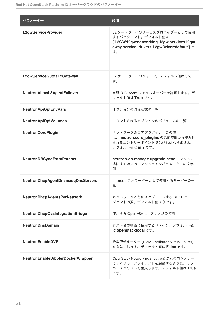| パラメーター                                   | 説明                                                                                                                                                   |
|------------------------------------------|------------------------------------------------------------------------------------------------------------------------------------------------------|
| L2gwServiceProvider                      | L2 ゲートウェイのサービスプロバイダーとして使用<br>するバックエンド。デフォルト値は<br>['L2GW:l2gw:networking_l2gw.services.l2gat<br>eway.service_drivers.L2gwDriver:default'] $\in$<br>す。 |
| L2gwServiceQuotaL2Gateway                | L2 ゲートウェイのクォータ。デフォルト値は5 で<br>す。                                                                                                                      |
| NeutronAllowL3AgentFailover              | 自動の I3-agent フェイルオーバーを許可します。デ<br>フォルト値は True です。                                                                                                     |
| <b>NeutronApiOptEnvVars</b>              | オプションの環境変数の一覧                                                                                                                                        |
| <b>NeutronApiOptVolumes</b>              | マウントされるオプションのボリュームの一覧                                                                                                                                |
| <b>NeutronCorePlugin</b>                 | ネットワークのコアプラグイン。この値<br>は、neutron.core_plugins の名前空間から読み込<br>まれるエントリーポイントでなければなりません。<br>デフォルト値は ml2 です。                                                |
| <b>NeutronDBSyncExtraParams</b>          | neutron-db-manage upgrade head コマンドに<br>追記する追加のコマンドラインパラメーターの文字<br>列                                                                                 |
| <b>NeutronDhcpAgentDnsmasqDnsServers</b> | dnsmasq フォワーダーとして使用するサーバーの一<br>覧                                                                                                                     |
| <b>NeutronDhcpAgentsPerNetwork</b>       | ネットワークごとにスケジュールする DHCP エー<br>ジェントの数。デフォルト値は0です。                                                                                                      |
| <b>NeutronDhcpOvsIntegrationBridge</b>   | 使用する Open vSwitch ブリッジの名前                                                                                                                            |
| <b>NeutronDnsDomain</b>                  | ホスト名の構築に使用するドメイン。デフォルト値<br>は openstacklocal です。                                                                                                      |
| <b>NeutronEnableDVR</b>                  | 分散仮想ルーター (DVR: Distributed Virtual Router)<br>を有効にします。デフォルト値はFalse です。                                                                               |
| NeutronEnableDibblerDockerWrapper        | OpenStack Networking (neutron) が別のコンテナー<br>でディブラークライアントを起動するように、ラッ<br>パースクリプトを生成します。デフォルト値はTrue<br>です。                                               |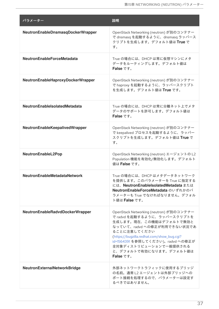| パラメーター                               | 説明                                                                                                                                                                                                                                                                                                    |
|--------------------------------------|-------------------------------------------------------------------------------------------------------------------------------------------------------------------------------------------------------------------------------------------------------------------------------------------------------|
| NeutronEnableDnsmasqDockerWrapper    | OpenStack Networking (neutron) が別のコンテナー<br>で dnsmasq を起動するように、dnsmasq ラッパース<br>クリプトを生成します。デフォルト値はTrue で<br>す。                                                                                                                                                                                         |
| <b>NeutronEnableForceMetadata</b>    | True の場合には、DHCP は常に仮想マシンにメタ<br>データをルーティングします。デフォルト値は<br>$False$ $\vec{c}$ $\vec{d}$                                                                                                                                                                                                                   |
| NeutronEnableHaproxyDockerWrapper    | OpenStack Networking (neutron) が別のコンテナー<br>で haproxy を起動するように、ラッパースクリプト<br>を生成します。デフォルト値はTrue です。                                                                                                                                                                                                     |
| <b>NeutronEnableIsolatedMetadata</b> | True の場合には、DHCP は常に分離ネット上でメタ<br>データのサポートを許可します。デフォルト値は<br><b>False</b> です。                                                                                                                                                                                                                            |
| NeutronEnableKeepalivedWrapper       | OpenStack Networking (neutron) が別のコンテナー<br>で keepalived プロセスを起動するように、ラッパー<br>スクリプトを生成します。デフォルト値は True で<br>す。                                                                                                                                                                                         |
| NeutronEnableL2Pop                   | OpenStack Networking (neutron) エージェントの L2<br>Population 機能を有効化/無効化します。デフォルト<br>値は False です。                                                                                                                                                                                                           |
| <b>NeutronEnableMetadataNetwork</b>  | True の場合には、DHCP はメタデータネットワーク<br>を提供します。このパラメーターを True に指定する<br>には、NeutronEnableIsolatedMetadataまたは<br>NeutronEnableForceMetadata のいずれかのパ<br>ラメーターも True でなければなりません。デフォル<br>ト値は False です。                                                                                                              |
| NeutronEnableRadvdDockerWrapper      | OpenStack Networking (neutron) が別のコンテナー<br>で radvd を起動するように、ラッパースクリプトを<br>生成します。現在、この機能はデフォルトで無効と<br>なっていて、radvd への修正が利用できない状況であ<br>ることに注意してください<br>(https://bugzilla.redhat.com/show_bug.cgi?<br>id=1564391 を参照してください)。radvd への修正が<br>全対象ディストリビューションで一般提供される<br>と、デフォルトで有効になります。デフォルト値は<br>False です。 |
| <b>NeutronExternalNetworkBridge</b>  | 外部ネットワークトラフィックに使用するブリッジ<br>の名前。通常 L2 エージェントは外部ブリッジへの<br>ポート接続を処理するので、パラメーターは設定す<br>るべきではありません。                                                                                                                                                                                                        |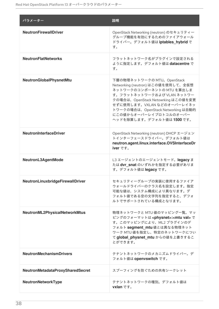| パラメーター                                  | 説明                                                                                                                                                                                                                                                                                          |
|-----------------------------------------|---------------------------------------------------------------------------------------------------------------------------------------------------------------------------------------------------------------------------------------------------------------------------------------------|
| <b>NeutronFirewallDriver</b>            | OpenStack Networking (neutron) のセキュリティー<br>グループ機能を有効にするためのファイアウォール<br>ドライバー。デフォルト値はiptableshybridで<br>す。                                                                                                                                                                                    |
| <b>NeutronFlatNetworks</b>              | フラットネットワーク名がプラグインで設定される<br>ように指定します。デフォルト値は datacentre で<br>す。                                                                                                                                                                                                                              |
| NeutronGlobalPhysnetMtu                 | 下層の物理ネットワークの MTU。OpenStack<br>Networking (neutron) はこの値を使用して、全仮想<br>ネットワークのコンポーネントの MTU を算出しま<br>す。フラットネットワークおよび VLAN ネットワー<br>クの場合は、OpenStack Netowrking はこの値を変更<br>せずに使用します。VXLAN などのオーバーレイネッ<br>トワークの場合は、OpenStack Networking は自動的<br>にこの値からオーバーレイプロトコルのオーバー<br>ヘッドを除算します。デフォルト値は1500です。 |
| <b>NeutronInterfaceDriver</b>           | OpenStack Networking (neutron) DHCP エージェン<br>トインターフェースドライバー。デフォルト値は<br>neutron.agent.linux.interface.OVSInterfaceDr<br>iver です。                                                                                                                                                             |
| NeutronL3AgentMode                      | L3 エージェントのエージェントモード。legacy ま<br>たは dvr snat のいずれかを指定する必要がありま<br>す。デフォルト値は legacy です。                                                                                                                                                                                                        |
| NeutronLinuxbridgeFirewallDriver        | セキュリティーグループの実装に使用するファイア<br>ウォールドライバーのクラス名を設定します。指定<br>可能な値は、システム構成により異なります。デ<br>フォルト値である空の文字列を指定すると、デフォ<br>ルトでサポートされている構成となります。                                                                                                                                                             |
| <b>NeutronML2PhysicalNetworkMtus</b>    | 物理ネットワークと MTU 値のマッピング一覧。マッ<br>ピングのフォーマットは <physnet>:<mtu val="">で<br/>す。このマッピングにより、ML2 プラグインのデ<br/>フォルト segment_mtu 値とは異なる物理ネット<br/>ワーク MTU 値を指定し、特定のネットワークについ<br/>てglobal_physnet_mtu からの値を上書きするこ<br/>とができます。</mtu></physnet>                                                              |
| <b>NeutronMechanismDrivers</b>          | テナントネットワークのメカニズムドライバー。デ<br>フォルト値は openvswitch です。                                                                                                                                                                                                                                           |
| <b>NeutronMetadataProxySharedSecret</b> | スプーフィングを防ぐための共有シークレット                                                                                                                                                                                                                                                                       |
| <b>NeutronNetworkType</b>               | テナントネットワークの種別。デフォルト値は<br>vxlanです。                                                                                                                                                                                                                                                           |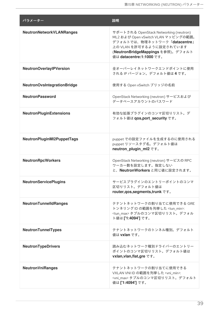| パラメーター                             | 説明                                                                                                                                                                                                        |
|------------------------------------|-----------------------------------------------------------------------------------------------------------------------------------------------------------------------------------------------------------|
| <b>NeutronNetworkVLANRanges</b>    | サポートされる OpenStack Networking (neutron)<br>ML2 および Open vSwitch VLAN マッピングの範囲。<br>デフォルトでは、物理ネットワーク「datacentre」<br>上の VLAN を許可するように設定されています<br>(NeutronBridgeMappingsを参照)。デフォルト<br>値は datacentre:1:1000 です。 |
| <b>NeutronOverlayIPVersion</b>     | 全オーバーレイネットワークエンドポイントに使用<br>される IP バージョン。デフォルト値は4 です。                                                                                                                                                      |
| <b>NeutronOvsIntegrationBridge</b> | 使用する Open vSwitch ブリッジの名前                                                                                                                                                                                 |
| <b>NeutronPassword</b>             | OpenStack Networking (neutron) サービスおよび<br>データベースアカウントのパスワード                                                                                                                                               |
| <b>NeutronPluginExtensions</b>     | 有効な拡張プラグインのコンマ区切りリスト。デ<br>フォルト値は qos,port security です。                                                                                                                                                    |
| NeutronPluginMI2PuppetTags         | puppet での設定ファイルを生成するのに使用される<br>puppet リソースタグ名。デフォルト値は<br>neutron_plugin_ml2 です。                                                                                                                           |
| <b>NeutronRpcWorkers</b>           | OpenStack Networking (neutron) サービスの RPC<br>ワーカー数を設定します。指定しない<br>と、NeutronWorkersと同じ値に設定されます。                                                                                                             |
| <b>NeutronServicePlugins</b>       | サービスプラグインのエントリーポイントのコンマ<br>区切りリスト。デフォルト値は<br>router, qos, segments, trunk です。                                                                                                                             |
| <b>NeutronTunnelIdRanges</b>       | テナントネットワークの割り当てに使用できる GRE<br>トンネリング ID の範囲を列挙した <tun min="">:<br/><tun max=""> タプルのコンマ区切りリスト。デフォル<br/>ト値は ['1:4094'] です。</tun></tun>                                                                      |
| <b>NeutronTunnelTypes</b>          | テナントネットワークのトンネル種別。デフォルト<br>値は vxlan です。                                                                                                                                                                   |
| <b>NeutronTypeDrivers</b>          | 読み込むネットワーク種別ドライバーのエントリー<br>ポイントのコンマ区切りリスト。デフォルト値は<br>vxlan, vlan, flat, gre です。                                                                                                                           |
| <b>NeutronVniRanges</b>            | テナントネットワークの割り当てに使用できる<br>VXLAN VNI ID の範囲を列挙した <vni_min>:<br/><vni_max> タプルのコンマ区切りリスト。デフォルト<br/>値は ['1:4094'] です。</vni_max></vni_min>                                                                     |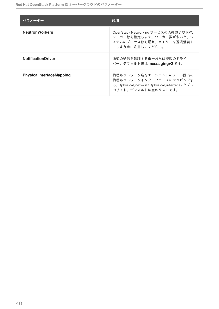| パラメーター                    | 説明                                                                                                                                                                   |
|---------------------------|----------------------------------------------------------------------------------------------------------------------------------------------------------------------|
| <b>NeutronWorkers</b>     | OpenStack Networking サービスの API および RPC<br>ワーカー数を設定します。ワーカー数が多いと、シ<br>ステムのプロセス数も増え、メモリーを過剰消費し<br>てしまう点に注意してください。                                                      |
| <b>NotificationDriver</b> | 通知の送信を処理する単一または複数のドライ<br>バー。デフォルト値は messagingv2 です。                                                                                                                  |
| PhysicalInterfaceMapping  | 物理ネットワーク名をエージェントのノード固有の<br>物理ネットワークインターフェースにマッピングす<br>る、 <physical_network>:<physical_interface> タプル<br/>のリスト。デフォルトは空のリストです。</physical_interface></physical_network> |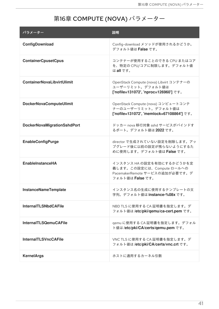# 第16章 COMPUTE (NOVA) パラメーター

<span id="page-44-0"></span>

| パラメーター                             | 説明                                                                                                           |
|------------------------------------|--------------------------------------------------------------------------------------------------------------|
| ConfigDownload                     | Config-download メソッドが使用されるかどうか。<br>デフォルト値は False です。                                                         |
| <b>ContainerCpusetCpus</b>         | コンテナーが使用することのできる CPU またはコア<br>を、特定の CPU/コアに制限します。デフォルト値<br>はallです。                                           |
| <b>ContainerNovaLibvirtUlimit</b>  | OpenStack Compute (nova) Libvirt コンテナーの<br>ユーザーリミット。デフォルト値は<br>['nofile=131072', 'nproc=126960'] です。         |
| <b>DockerNovaComputeUlimit</b>     | OpenStack Compute (nova) コンピュートコンテ<br>ナーのユーザーリミット。デフォルト値は<br>['nofile=131072', 'memlock=67108864'] です。       |
| <b>DockerNovaMigrationSshdPort</b> | ドッカー nova 移行対象 sshd サービスがバインドす<br>るポート。デフォルト値は2022です。                                                        |
| <b>EnableConfigPurge</b>           | director で生成されていない設定を削除します。アッ<br>プグレード後に以前の設定が残らないようにするた<br>めに使用します。デフォルト値は False です。                        |
| <b>EnableInstanceHA</b>            | インスタンス HA の設定を有効にするかどうかを定<br>義します。この設定には、Compute ロールへの<br>PacemakerRemote サービスの追加が必要です。デ<br>フォルト値は False です。 |
| <b>InstanceNameTemplate</b>        | インスタンス名の生成に使用するテンプレートの文<br>字列。デフォルト値は instance-%08x です。                                                      |
| <b>InternalTLSNbdCAFile</b>        | NBD TLS に使用する CA 証明書を指定します。デ<br>フォルト値は/etc/pki/qemu/ca-cert.pemです。                                           |
| <b>InternalTLSQemuCAFile</b>       | qemu に使用する CA 証明書を指定します。デフォル<br>ト値は/etc/pki/CA/certs/qemu.pemです。                                             |
| <b>InternalTLSVncCAFile</b>        | VNC TLS に使用する CA 証明書を指定します。デ<br>フォルト値は/etc/pki/CA/certs/vnc.crt です。                                          |
| <b>KernelArgs</b>                  | ホストに適用するカーネル引数                                                                                               |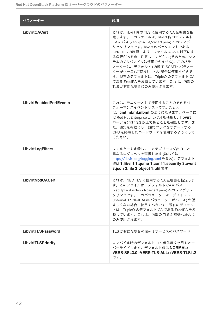| パラメーター                          | 説明                                                                                                                                                                                                                                                                                                                                                                                        |
|---------------------------------|-------------------------------------------------------------------------------------------------------------------------------------------------------------------------------------------------------------------------------------------------------------------------------------------------------------------------------------------------------------------------------------------|
| <b>LibvirtCACert</b>            | これは、libvirt 内の TLS に使用する CA 証明書を指<br>定します。このファイルは、libvirt 内のデフォルト<br>CA のパス (/etc/pki/CA/cacert.pem) へのシンボ<br>リックリンクです。libvirt のバックエンドである<br>GNU TLS の制限により、ファイルは 65K以下にす<br>る必要がある点に注意してください (そのため、シス<br>テムの CA バンドルは使用できません)。このパラ<br>メーターは、デフォルト (内部 TLSCAFile パラメー<br>ターがベース)が望ましくない場合に使用すべきで<br>す。現在のデフォルトは、TripleO のデフォルト CA<br>である FreelPA を反映しています。これは、内部の<br>TLS が有効な場合にのみ使用されます。 |
| <b>LibvirtEnabledPerfEvents</b> | これは、モニターとして使用することのできるパ<br>フォーマンスイベントリストです。たとえ<br>ば、cmt,mbml,mbmt のようになります。ベースに<br>は Red Hat Enterprise Linux 7.4 を使用し、libvirt<br>バージョンは1.3.3 以上であることを確認します。ま<br>た、通知を有効にし、cmt フラグをサポートする<br>CPUを搭載したハードウェアを使用するようにして<br>ください。                                                                                                                                                             |
| <b>LibvirtLogFilters</b>        | フィルターを定義して、カテゴリーログ出力ごとに<br>異なるログレベルを選択します (詳しくは<br>https://libvirt.org/logging.html を参照)。デフォルト<br>値は 1:libvirt 1:qemu 1:conf 1:security 3:event<br>3:json 3:file 3:object 1:util です。                                                                                                                                                                                                      |
| <b>LibvirtNbdCACert</b>         | これは、NBD TLS に使用する CA 証明書を指定しま<br>す。このファイルは、デフォルト CA のパス<br>(/etc/pki/libvirt-nbd/ca-cert.pem) へのシンボリッ<br>クリンクです。このパラメーターは、デフォルト<br>(InternalTLSNbdCAFile パラメーターがベース)が望<br>ましくない場合に使用すべきです。現在のデフォル<br>トは、TripleO のデフォルト CA である FreelPA を反<br>映しています。これは、内部の TLS が有効な場合に<br>のみ使用されます。                                                                                                       |
| LibvirtTLSPassword              | TLS が有効な場合の libvirt サービスのパスワード                                                                                                                                                                                                                                                                                                                                                            |
| <b>LibvirtTLSPriority</b>       | コンパイル時のデフォルト TLS 優先度文字列をオー<br>バーライドします。デフォルト値は NORMAL:-<br>VERS-SSL3.0:-VERS-TLS-ALL:+VERS-TLS1.2<br>です。                                                                                                                                                                                                                                                                                  |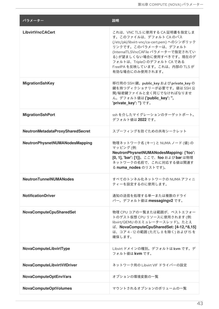| パラメーター                                  | 説明                                                                                                                                                                                                                                                                                     |
|-----------------------------------------|----------------------------------------------------------------------------------------------------------------------------------------------------------------------------------------------------------------------------------------------------------------------------------------|
| <b>LibvirtVncCACert</b>                 | これは、VNC TLS に使用する CA 証明書を指定しま<br>す。このファイルは、デフォルト CA のパス<br>(/etc/pki/libvirt-vnc/ca-cert.pem) へのシンボリック<br>リンクです。このパラメーターは、デフォルト<br>(InternalTLSVncCAFile パラメーターで指定されてい<br>る)が望ましくない場合に使用すべきです。現在のデ<br>フォルトは、TripleO のデフォルト CA である<br>FreeIPA を反映しています。これは、内部の TLS が<br>有効な場合にのみ使用されます。 |
| <b>MigrationSshKey</b>                  | 移行用の SSH 鍵。public_key および private_key の<br>鍵を持つディクショナリーが必要です。値は SSH 公<br>開/秘密鍵ファイルと全く同じでなければなりませ<br>ん。デフォルト値は{'public_key':",<br>'private_key': "} です。                                                                                                                                 |
| <b>MigrationSshPort</b>                 | sshを介したマイグレーションのターゲットポート。<br>デフォルト値は2022です。                                                                                                                                                                                                                                            |
| <b>NeutronMetadataProxySharedSecret</b> | スプーフィングを防ぐための共有シークレット                                                                                                                                                                                                                                                                  |
| NeutronPhysnetNUMANodesMapping          | 物理ネットワーク名 (キー) と NUMA ノード (値)の<br>マッピング(例:<br>NeutronPhysnetNUMANodesMapping: {'foo':<br>[0, 1], 'bar': [1]}。ここで、foo および bar は物理<br>ネットワークの名前で、これに対応する値は関連す<br>る numa_nodes のリストです)。                                                                                                   |
| <b>NeutronTunnelNUMANodes</b>           | すべてのトンネル化ネットワークの NUMA アフィニ<br>ティーを設定するのに使用します。                                                                                                                                                                                                                                         |
| <b>NotificationDriver</b>               | 通知の送信を処理する単一または複数のドライ<br>バー。デフォルト値は messagingv2 です。                                                                                                                                                                                                                                    |
| <b>NovaComputeCpuSharedSet</b>          | 物理 CPU コアの一覧または範囲が、ベストエフォー<br>トのゲスト仮想 CPU リソースに使用されます (例:<br>libvirt/QEMU のエミュレータースレッド)。たとえ<br>ば、NovaComputeCpuSharedSet: [4-12,^8,15]<br>は、コア4-12の範囲(ただし8を除く)および15を<br>確保します。                                                                                                         |
| NovaComputeLibvirtType                  | Libvirt ドメインの種別。デフォルトは kvm です。デ<br>フォルト値は kvm です。                                                                                                                                                                                                                                      |
| NovaComputeLibvirtVifDriver             | ネットワーク用の Libvirt VIF ドライバーの設定                                                                                                                                                                                                                                                          |
| <b>NovaComputeOptEnvVars</b>            | オプションの環境変数の一覧                                                                                                                                                                                                                                                                          |
| <b>NovaComputeOptVolumes</b>            | マウントされるオプションのボリュームの一覧                                                                                                                                                                                                                                                                  |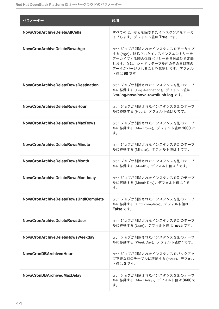| パラメーター                                      | 説明                                                                                                                                                    |
|---------------------------------------------|-------------------------------------------------------------------------------------------------------------------------------------------------------|
| <b>NovaCronArchiveDeleteAllCells</b>        | すべてのセルから削除されたインスタンスをアーカ<br>イブします。デフォルト値は True です。                                                                                                     |
| <b>NovaCronArchiveDeleteRowsAge</b>         | cron ジョブが削除されたインスタンスをアーカイブ<br>する (Age)。削除されたインスタンスエントリーを<br>アーカイブする際の保持ポリシーを日数単位で定義<br>します。0は、シャドウテーブル内のその日以前の<br>データがパージされることを意味します。デフォル<br>ト値は90です。 |
| <b>NovaCronArchiveDeleteRowsDestination</b> | cron ジョブが削除されたインスタンスを別のテーブ<br>ルに移動する (Log destination)。デフォルト値は<br>/var/log/nova/nova-rowsflush.log です。                                                |
| <b>NovaCronArchiveDeleteRowsHour</b>        | cron ジョブが削除されたインスタンスを別のテーブ<br>ルに移動する (Hour)。デフォルト値は 0 です。                                                                                             |
| <b>NovaCronArchiveDeleteRowsMaxRows</b>     | cron ジョブが削除されたインスタンスを別のテーブ<br>ルに移動する (Max Rows)。デフォルト値は 1000で<br>す。                                                                                   |
| <b>NovaCronArchiveDeleteRowsMinute</b>      | cron ジョブが削除されたインスタンスを別のテーブ<br>ルに移動する (Minute)。デフォルト値は1です。                                                                                             |
| <b>NovaCronArchiveDeleteRowsMonth</b>       | cron ジョブが削除されたインスタンスを別のテーブ<br>ルに移動する (Month)。デフォルト値は * です。                                                                                            |
| NovaCronArchiveDeleteRowsMonthday           | cron ジョブが削除されたインスタンスを別のテーブ<br>ルに移動する (Month Day)。デフォルト値は*で<br>す。                                                                                      |
| NovaCronArchiveDeleteRowsUntilComplete      | cron ジョブが削除されたインスタンスを別のテーブ<br>ルに移動する (Until complete)。デフォルト値は<br>False $\tilde{\mathfrak{c}}$ $\mathfrak{r}$ .                                        |
| <b>NovaCronArchiveDeleteRowsUser</b>        | cron ジョブが削除されたインスタンスを別のテーブ<br>ルに移動する(User)。デフォルト値はnova です。                                                                                            |
| <b>NovaCronArchiveDeleteRowsWeekday</b>     | cron ジョブが削除されたインスタンスを別のテーブ<br>ルに移動する (Week Day)。デフォルト値は* です。                                                                                          |
| <b>NovaCronDBArchivedHour</b>               | cron ジョブが削除されたインスタンスをバックアッ<br>プ不要な別のテーブルに移動する (Hour)。デフォル<br>ト値は0です。                                                                                  |
| NovaCronDBArchivedMaxDelay                  | cron ジョブが削除されたインスタンスを別のテーブ<br>ルに移動する (Max Delay)。デフォルト値は 3600 で<br>す。                                                                                 |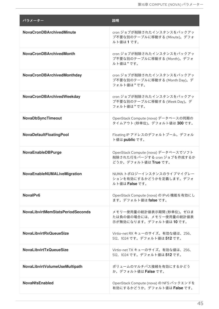| パラメーター                                  | 説明                                                                                         |
|-----------------------------------------|--------------------------------------------------------------------------------------------|
| <b>NovaCronDBArchivedMinute</b>         | cron ジョブが削除されたインスタンスをバックアッ<br>プ不要な別のテーブルに移動する (Minute)。デフォ<br>ルト値は1です。                     |
| <b>NovaCronDBArchivedMonth</b>          | cron ジョブが削除されたインスタンスをバックアッ<br>プ不要な別のテーブルに移動する (Month)。デフォ<br>ルト値は * です。                    |
| <b>NovaCronDBArchivedMonthday</b>       | cron ジョブが削除されたインスタンスをバックアッ<br>プ不要な別のテーブルに移動する (Month Day)。デ<br>フォルト値は * です。                |
| NovaCronDBArchivedWeekday               | cron ジョブが削除されたインスタンスをバックアッ<br>プ不要な別のテーブルに移動する (Week Day)。デ<br>フォルト値は * です。                 |
| <b>NovaDbSyncTimeout</b>                | OpenStack Compute (nova) データベースの同期の<br>タイムアウト(秒単位)。デフォルト値は300です。                           |
| NovaDefaultFloatingPool                 | Floating IP アドレスのデフォルトプール。デフォル<br>ト値は public です。                                           |
| <b>NovaEnableDBPurge</b>                | OpenStack Compute (nova) データベースでソフト<br>削除された行をパージする cron ジョブを作成するか<br>どうか。デフォルト値は True です。 |
| NovaEnableNUMALiveMigration             | NUMAトポロジーインスタンスのライブマイグレー<br>ションを有効にするかどうかを定義します。デフォ<br>ルト値は False です。                      |
| NovalPv6                                | OpenStack Compute (nova) の IPv6 機能を有効にし<br>ます。デフォルト値はfalse です。                             |
| <b>NovaLibvirtMemStatsPeriodSeconds</b> | メモリー使用量の統計値表示期間 (秒単位)。ゼロま<br>たは負の値の場合には、メモリー使用量の統計値表<br>示が無効になります。デフォルト値は10です。             |
| <b>NovaLibvirtRxQueueSize</b>           | Virtio-net RX キューのサイズ。有効な値は、256、<br>512、1024です。デフォルト値は512です。                               |
| <b>NovaLibvirtTxQueueSize</b>           | Virtio-net TX キューのサイズ。有効な値は、256、<br>512、1024です。デフォルト値は512です。                               |
| NovaLibvirtVolumeUseMultipath           | ボリュームのマルチパス接続を有効にするかどう<br>か。デフォルト値は False です。                                              |
| <b>NovaNfsEnabled</b>                   | OpenStack Compute (nova) の NFS バックエンドを<br>有効にするかどうか。デフォルト値は False です。                      |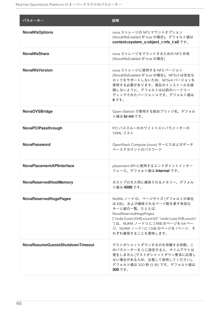| パラメーター                           | 説明                                                                                                                                                                                                                                                      |
|----------------------------------|---------------------------------------------------------------------------------------------------------------------------------------------------------------------------------------------------------------------------------------------------------|
| <b>NovaNfsOptions</b>            | nova ストレージの NFS マウントオプション<br>(NovaNfsEnabled が true の場合)。デフォルト値は<br>context=system_u:object_r:nfs_t:s0 です。                                                                                                                                              |
| <b>NovaNfsShare</b>              | nova ストレージをマウントするための NFS 共有<br>(NovaNfsEnabled が true の場合)                                                                                                                                                                                              |
| <b>NovaNfsVersion</b>            | nova ストレージに使用する NFS バージョン<br>(NovaNfsEnabled が true の場合)。NFSv3 は完全な<br>ロックをサポートしないため、NFSv4 バージョンを<br>使用する必要があります。現在のインストールを破<br>損しないように、デフォルトは以前のハードコー<br>ディングされたバージョン4です。デフォルト値は<br>4 です。                                                              |
| <b>NovaOVSBridge</b>             | Open vSwitch で使用する統合ブリッジ名。デフォル<br>ト値は br-int です。                                                                                                                                                                                                        |
| NovaPCIPassthrough               | PCI パススルーのホワイトリストパラメーターの<br>YAML リスト                                                                                                                                                                                                                    |
| <b>NovaPassword</b>              | OpenStack Compute (nova) サービスおよびデータ<br>ベースアカウントのパスワード                                                                                                                                                                                                   |
| <b>NovaPlacementAPIInterface</b> | placement API に使用するエンドポイントインター<br>フェース。デフォルト値は internal です。                                                                                                                                                                                             |
| NovaReservedHostMemory           | ホストプロセス用に確保されるメモリー。デフォル<br>ト値は4096です。                                                                                                                                                                                                                   |
| <b>NovaReservedHugePages</b>     | NUMA ノード ID、ページサイズ (デフォルトの単位<br>は KiB)、および確保されるページ数を表す有効な<br>キーと値の一覧。たとえば、<br>NovaReservedHugePages:<br>["node:0,size:2048,count:64","node:1,size:1GB,count:1<br>"1は、NUMA ノード 0 に 2 MiB のページを 64 ぺー<br>ジ、NUMA ノード1に1GiB のページを1ページ、そ<br>れぞれ確保することを意味します。 |
| NovaResumeGuestsShutdownTimeout  | ゲストがシャットダウンするのを待機する秒数。こ<br>のパラメーターをOに設定すると、タイムアウトは<br>発生しません (ゲストがシャットダウン要求に応答し<br>ない場合があるため、注意して使用してください)。<br>デフォルト値は300秒(5分)です。デフォルト値は<br>300です。                                                                                                      |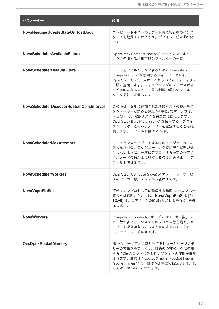| パラメーター                                    | 説明                                                                                                                                                                                                                                               |
|-------------------------------------------|--------------------------------------------------------------------------------------------------------------------------------------------------------------------------------------------------------------------------------------------------|
| NovaResumeGuestsStateOnHostBoot           | コンピュートホストのリブート時に実行中のインス<br>タンスを起動するかどうか。デフォルト値はFalse<br>です。                                                                                                                                                                                      |
| <b>NovaSchedulerAvailableFilters</b>      | OpenStack Compute (nova) がノードのフィルタリ<br>ングに使用する利用可能なフィルターの一覧                                                                                                                                                                                      |
| <b>NovaSchedulerDefaultFilters</b>        | ノードをフィルタリングするために OpenStack<br>Compute (nova) が使用するフィルターアレイ。<br>OpenStack Compute は、これらのフィルターをリス<br>ト順に適用します。フィルタリングのプロセスがよ<br>り効率的になるように、最も制限の厳しいフィル<br>ターを最初に配置します。                                                                             |
| NovaSchedulerDiscoverHostsInCellsInterval | この値は、セルに追加された新規ホストの検出をス<br>ケジューラーが試みる頻度 (秒単位) です。デフォル<br>ト値の-1は、定期タスクを完全に無効化します。<br>OpenStack Bare Metal (ironic) を使用するデプロイ<br>メントには、このパラメーターを設定することを推<br>奨します。デフォルト値は-1です。                                                                      |
| <b>NovaSchedulerMaxAttempts</b>           | インスタンスをデプロイする際のスケジューラーの<br>最大試行回数。スケジューリング時に競合状態が発<br>生しないように、一度にデプロイする予定のベアメ<br>タルノードの数以上に維持する必要があります。デ<br>フォルト値は3です。                                                                                                                           |
| <b>NovaSchedulerWorkers</b>               | OpenStack Compute (nova) スケジューラーサービ<br>スのワーカー数。デフォルト値は1です。                                                                                                                                                                                       |
| <b>NovaVcpuPinSet</b>                     | 仮想マシンプロセス用に確保する物理 CPU コアの一<br>覧または範囲。たとえば、NovaVcpuPinSet: [4-<br>12,^8] は、コア4-12の範囲 (ただし8を除く)を確<br>保します。                                                                                                                                         |
| <b>NovaWorkers</b>                        | Compute の Conductor サービスのワーカー数。ワー<br>カー数が多いと、システムのプロセス数も増え、メ<br>モリーを過剰消費してしまう点に注意してくださ<br>い。デフォルト値は0です。                                                                                                                                          |
| <b>OvsDpdkSocketMemory</b>                | NUMA ノードごとに割り当てるヒュージページメモ<br>リーの容量を設定します。目的の DPDK NIC に使用<br>する PCIe スロットに最も近いソケットの使用が推奨<br>されます。形式は " <socket 0="" mem="">, <socket 1="" mem="">,<br/><socket mem="" n="">"で、値は MB 単位で指定します。た<br/>とえば、"1024,0"となります。</socket></socket></socket> |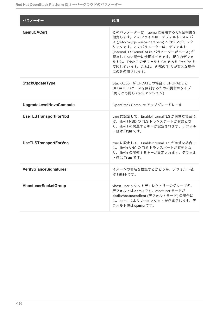| パラメーター                        | 説明                                                                                                                                                                                                                                                                                |
|-------------------------------|-----------------------------------------------------------------------------------------------------------------------------------------------------------------------------------------------------------------------------------------------------------------------------------|
| <b>QemuCACert</b>             | このパラメーターは、qemu に使用する CA 証明書を<br>指定します。このファイルは、デフォルト CA のパ<br>ス (/etc/pki/qemu/ca-cert.pem) へのシンボリック<br>リンクです。このパラメーターは、デフォルト<br>(InternalTLSQemuCAFile パラメーターがベース)が<br>望ましくない場合に使用すべきです。現在のデフォ<br>ルトは、TripleO のデフォルト CA である FreelPA を<br>反映しています。これは、内部の TLS が有効な場合<br>にのみ使用されます。 |
| <b>StackUpdateType</b>        | StackAction が UPDATE の場合に UPGRADE と<br>UPDATE のケースを区別するための更新のタイプ<br>(両方とも同じ stack アクション)                                                                                                                                                                                          |
| UpgradeLevelNovaCompute       | OpenStack Compute アップグレードレベル                                                                                                                                                                                                                                                      |
| <b>UseTLSTransportForNbd</b>  | true に設定して、EnableInternalTLS が有効な場合に<br>は、libvirt NBD の TLS トランスポートが有効とな<br>り、libvirt の関連するキーが設定されます。デフォル<br>ト値は True です。                                                                                                                                                         |
| <b>UseTLSTransportForVnc</b>  | true に設定して、EnableInternalTLS が有効な場合に<br>は、libvirt VNC の TLS トランスポートが有効とな<br>り、libvirt の関連するキーが設定されます。デフォル<br>ト値は True です。                                                                                                                                                         |
| <b>VerifyGlanceSignatures</b> | イメージの署名を検証するかどうか。デフォルト値<br>はFalseです。                                                                                                                                                                                                                                              |
| <b>VhostuserSocketGroup</b>   | vhost-user ソケットディレクトリーのグループ名。<br>デフォルトは qemu です。vhostuser モードが<br>dpdkvhostuserclient (デフォルトモード)の場合に<br>は、qemu により vhost ソケットが作成されます。デ<br>フォルト値は qemu です。                                                                                                                         |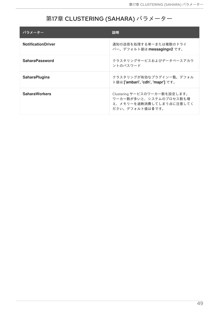## 第17章 CLUSTERING (SAHARA) パラメーター

<span id="page-52-0"></span>

| パラメーター                    | 説明                                                                                                   |
|---------------------------|------------------------------------------------------------------------------------------------------|
| <b>NotificationDriver</b> | 通知の送信を処理する単一または複数のドライ<br>バー。デフォルト値は messagingv2 です。                                                  |
| <b>SaharaPassword</b>     | クラスタリングサービスおよびデータベースアカウ<br>ントのパスワード                                                                  |
| <b>SaharaPlugins</b>      | クラスタリングが有効なプラグイン一覧。デフォル<br>ト値は ['ambari', 'cdh', 'mapr'] です。                                         |
| <b>SaharaWorkers</b>      | Clustering サービスのワーカー数を設定します。<br>ワーカー数が多いと、システムのプロセス数も増<br>え、メモリーを過剰消費してしまう点に注意してく<br>ださい。デフォルト値は0です。 |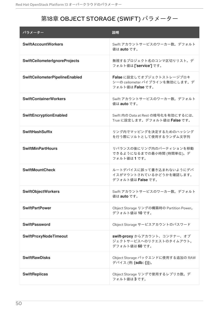## 第18章 OBJECT STORAGE (SWIFT) パラメーター

<span id="page-53-0"></span>

| パラメーター                                | 説明                                                                              |
|---------------------------------------|---------------------------------------------------------------------------------|
| <b>SwiftAccountWorkers</b>            | Swift アカウントサービスのワーカー数。デフォルト<br>値は auto です。                                      |
| <b>SwiftCeilometerIgnoreProjects</b>  | 無視するプロジェクト名のコンマ区切りリスト。デ<br>フォルト値は ['service'] です。                               |
| <b>SwiftCeilometerPipelineEnabled</b> | False に設定してオブジェクトストレージプロキ<br>シーの ceilometer パイプラインを無効にします。デ<br>フォルト値は False です。 |
| <b>SwiftContainerWorkers</b>          | Swift アカウントサービスのワーカー数。デフォルト<br>値は auto です。                                      |
| SwiftEncryptionEnabled                | Swift 内の Data at Rest の暗号化を有効にするには、<br>True に設定します。デフォルト値は False です。            |
| <b>SwiftHashSuffix</b>                | リング内でマッピングを決定するためのハッシング<br>を行う際にソルトとして使用するランダム文字列                               |
| <b>SwiftMinPartHours</b>              | リバランスの後にリング内のパーティションを移動<br>できるようになるまでの最小時間 (時間単位)。デ<br>フォルト値は1です。               |
| <b>SwiftMountCheck</b>                | ルートデバイスに誤って書き込まれないようにデバ<br>イスがマウントされているかどうかを確認します。<br>デフォルト値は False です。         |
| <b>SwiftObjectWorkers</b>             | Swift アカウントサービスのワーカー数。デフォルト<br>値は auto です。                                      |
| <b>SwiftPartPower</b>                 | Object Storage リングの構築時の Partition Power。<br>デフォルト値は10です。                        |
| <b>SwiftPassword</b>                  | Object Storage サービスアカウントのパスワード                                                  |
| <b>SwiftProxyNodeTimeout</b>          | swift-proxy からアカウント、コンテナー、オブ<br>ジェクトサービスへのリクエストのタイムアウト。<br>デフォルト値は60です。         |
| <b>SwiftRawDisks</b>                  | Object Storage バックエンドに使用する追加の RAW<br>デバイス (例: {sdb: {}})。                       |
| <b>SwiftReplicas</b>                  | Object Storage リングで使用するレプリカ数。デ<br>フォルト値は3です。                                    |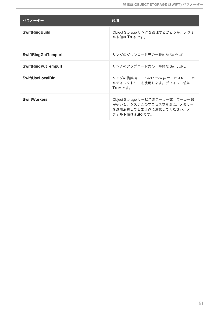| パラメーター                     | 説明                                                                                                             |
|----------------------------|----------------------------------------------------------------------------------------------------------------|
| <b>SwiftRingBuild</b>      | Object Storage リングを管理するかどうか。デフォ<br>ルト値は True です。                                                               |
| <b>SwiftRingGetTempurl</b> | リングのダウンロード元の一時的な Swift URL                                                                                     |
| <b>SwiftRingPutTempurl</b> | リングのアップロード先の一時的な Swift URL                                                                                     |
| <b>SwiftUseLocalDir</b>    | リングの構築時に Object Storage サービスにローカ<br>ルディレクトリーを使用します。デフォルト値は<br>$True \; \mathcal{C} \; \mathcal{F}$             |
| <b>SwiftWorkers</b>        | Object Storage サービスのワーカー数。ワーカー数<br>が多いと、システムのプロセス数も増え、メモリー<br>を過剰消費してしまう点に注意してください。デ<br>フォルト値は <b>auto</b> です。 |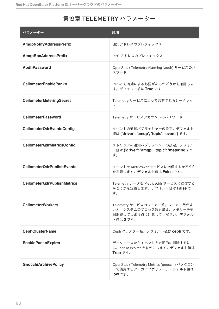#### 第19章 TELEMETRY パラメーター

<span id="page-55-0"></span>

| パラメーター                             | 説明                                                                                            |
|------------------------------------|-----------------------------------------------------------------------------------------------|
| <b>AmqpNotifyAddressPrefix</b>     | 通知アドレスのプレフィックス                                                                                |
| <b>AmqpRpcAddressPrefix</b>        | RPC アドレスのプレフィックス                                                                              |
| AodhPassword                       | OpenStack Telemetry Alarming (aodh) サービスのパ<br>スワード                                            |
| <b>CeilometerEnablePanko</b>       | Panko を有効にする必要があるかどうかを確認しま<br>す。デフォルト値は True です。                                              |
| <b>CeilometerMeteringSecret</b>    | Telemetry サービスによって共有されるシークレッ<br>$\vdash$                                                      |
| <b>CeilometerPassword</b>          | Telemetry サービスアカウントのパスワード                                                                     |
| <b>CeilometerQdrEventsConfig</b>   | イベントの通知パブリッシャーの設定。デフォルト<br>値は {'driver': 'amqp', 'topic': 'event'} です。                        |
| <b>CeilometerQdrMetricsConfig</b>  | メトリックの通知パブリッシャーの設定。デフォル<br>ト値は {'driver': 'amqp', 'topic': 'metering'} で<br>す。                |
| <b>CeilometerQdrPublishEvents</b>  | イベントを MetricsQdr サービスに送信するかどうか<br>を定義します。デフォルト値はFalse です。                                     |
| <b>CeilometerQdrPublishMetrics</b> | Telemetry データを MetricsQdr サービスに送信する<br>かどうかを定義します。デフォルト値はFalse で<br>す。                        |
| <b>CeilometerWorkers</b>           | Telemetry サービスのワーカー数。ワーカー数が多<br>いと、システムのプロセス数も増え、メモリーを過<br>剰消費してしまう点に注意してください。デフォル<br>ト値は0です。 |
| <b>CephClusterName</b>             | Ceph クラスター名。デフォルト値は ceph です。                                                                  |
| <b>EnablePankoExpirer</b>          | データベースからイベントを定期的に削除するに<br>は、panko expirer を有効にします。デフォルト値は<br>True です。                         |
| <b>GnocchiArchivePolicy</b>        | OpenStack Telemetry Metrics (gnocchi) バックエン<br>ドで使用するアーカイブポリシー。デフォルト値は<br>lowです。              |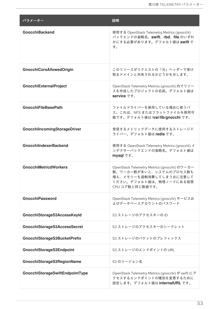| パラメーター                          | 説明                                                                                                                                             |
|---------------------------------|------------------------------------------------------------------------------------------------------------------------------------------------|
| <b>GnocchiBackend</b>           | 使用する OpenStack Telemetry Metrics (gnocchi)<br>バックエンドの省略名。swift、rbd、file のいずれ<br>かにする必要があります。デフォルト値は swift で<br>す。                              |
| <b>GnocchiCorsAllowedOrigin</b> | このリソースがリクエストの「元」ヘッダーで受け<br>取るドメインと共有されるかどうかを示します。                                                                                              |
| GnocchiExternalProject          | OpenStack Telemetry Metrics (gnocchi) 内でリソー<br>スを作成したプロジェクトの名前。デフォルト値は<br>service です。                                                          |
| <b>GnocchiFileBasePath</b>      | ファイルドライバーを使用している場合に使うパ<br>ス。これは、NFS またはフラットファイルを使用可<br>能です。デフォルト値は/var/lib/gnocchi です。                                                         |
| GnocchilncomingStorageDriver    | 受信するメトリックデータに使用するストレージド<br>ライバー。デフォルト値は redis です。                                                                                              |
| <b>GnocchilndexerBackend</b>    | 使用する OpenStack Telemetry Metrics (gnocchi) イ<br>ンデクサーバックエンドの省略名。デフォルト値は<br>mysql です。                                                           |
| <b>GnocchiMetricdWorkers</b>    | OpenStack Telemetry Metrics (gnocchi) のワーカー<br>数。ワーカー数が多いと、システムのプロセス数も<br>増え、メモリーを過剰消費してしまう点に注意して<br>ください。デフォルト値は、物理ノードにある仮想<br>CPUコア数と同じ数値です。 |
| <b>GnocchiPassword</b>          | OpenStack Telemetry Metrics (gnocchi) サービスお<br>よびデータベースアカウントのパスワード                                                                             |
| GnocchiStorageS3AccessKeyId     | S3 ストレージのアクセスキーの ID                                                                                                                            |
| GnocchiStorageS3AccessSecret    | S3 ストレージのアクセスキーのシークレット                                                                                                                         |
| GnocchiStorageS3BucketPrefix    | S3 ストレージのバケットのプレフィックス                                                                                                                          |
| GnocchiStorageS3Endpoint        | S3 ストレージのエンドポイントの URL                                                                                                                          |
| GnocchiStorageS3RegionName      | S3 のリージョン名                                                                                                                                     |
| GnocchiStorageSwiftEndpointType | OpenStack Telemetry Metrics (gnocchi) が swift にア<br>クセスするエンドポイントの種別を変更するために<br>設定します。デフォルト値は internalURL です。                                   |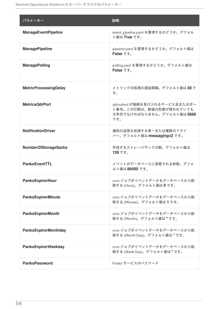| パラメーター                       | 説明                                                                                           |
|------------------------------|----------------------------------------------------------------------------------------------|
| <b>ManageEventPipeline</b>   | event_pipeline.yaml を管理するかどうか。デフォル<br>ト値は True です。                                           |
| <b>ManagePipeline</b>        | pipeline.yaml を管理するかどうか。デフォルト値は<br><b>False</b> です。                                          |
| <b>ManagePolling</b>         | polling.yaml を管理するかどうか。デフォルト値は<br><b>False</b> です。                                           |
| <b>MetricProcessingDelay</b> | メトリックの処理の遅延間隔。デフォルト値は30で<br>す。                                                               |
| <b>MetricsQdrPort</b>        | qdrouterd が接続を受け入れるサービス名またはポー<br>ト番号。この引数は、数値の形態が使われていても<br>文字列でなければなりません。デフォルト値は5666<br>です。 |
| <b>NotificationDriver</b>    | 通知の送信を処理する単一または複数のドライ<br>バー。デフォルト値は messagingv2 です。                                          |
| <b>NumberOfStorageSacks</b>  | 作成するストレージサックの数。デフォルト値は<br>128です。                                                             |
| <b>PankoEventTTL</b>         | イベントがデータベースに保管される秒数。デフォ<br>ルト値は86400です。                                                      |
| <b>PankoExpirerHour</b>      | cron ジョブがイベントデータをデータベースから削<br>除する (Hour)。デフォルト値は0です。                                         |
| <b>PankoExpirerMinute</b>    | cron ジョブがイベントデータをデータベースから削<br>除する (Minute)。デフォルト値は1です。                                       |
| <b>PankoExpirerMonth</b>     | cron ジョブがイベントデータをデータベースから削<br>除する (Month)。デフォルト値は * です。                                      |
| <b>PankoExpirerMonthday</b>  | cron ジョブがイベントデータをデータベースから削<br>除する (Month Day)。デフォルト値は * です。                                  |
| <b>PankoExpirerWeekday</b>   | cron ジョブがイベントデータをデータベースから削<br>除する (Week Day)。デフォルト値は*です。                                     |
| <b>PankoPassword</b>         | Panko サービスのパスワード                                                                             |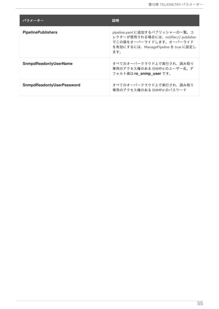| パラメーター                    | 説明                                                                                                                                               |
|---------------------------|--------------------------------------------------------------------------------------------------------------------------------------------------|
| <b>PipelinePublishers</b> | pipeline.yaml に追加するパブリッシャーの一覧。コ<br>レクターが使用される場合には、notifier:// publisher<br>でこの値をオーバーライドします。オーバーライド<br>を有効にするには、ManagePipeline を true に設定し<br>ます。 |
| SnmpdReadonlyUserName     | すべてのオーバークラウド上で実行され、読み取り<br>専用のアクセス権のある SNMPd のユーザー名。デ<br>フォルト値はro snmp user です。                                                                  |
| SnmpdReadonlyUserPassword | すべてのオーバークラウド上で実行され、読み取り<br>- 専用のアクセス権のある SNMPd のパスワード                                                                                            |